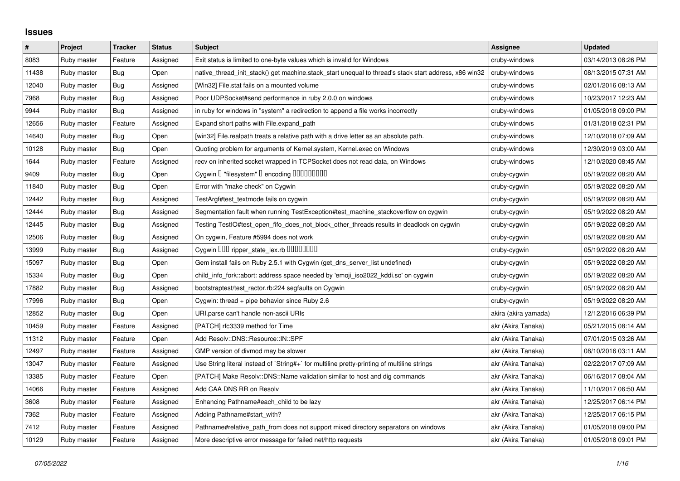## **Issues**

| $\pmb{\#}$ | Project     | <b>Tracker</b> | <b>Status</b> | <b>Subject</b>                                                                                        | <b>Assignee</b>      | <b>Updated</b>      |
|------------|-------------|----------------|---------------|-------------------------------------------------------------------------------------------------------|----------------------|---------------------|
| 8083       | Ruby master | Feature        | Assigned      | Exit status is limited to one-byte values which is invalid for Windows                                | cruby-windows        | 03/14/2013 08:26 PM |
| 11438      | Ruby master | Bug            | Open          | native thread init stack() get machine stack start unequal to thread's stack start address, x86 win32 | cruby-windows        | 08/13/2015 07:31 AM |
| 12040      | Ruby master | Bug            | Assigned      | [Win32] File.stat fails on a mounted volume                                                           | cruby-windows        | 02/01/2016 08:13 AM |
| 7968       | Ruby master | <b>Bug</b>     | Assigned      | Poor UDPSocket#send performance in ruby 2.0.0 on windows                                              | cruby-windows        | 10/23/2017 12:23 AM |
| 9944       | Ruby master | Bug            | Assigned      | in ruby for windows in "system" a redirection to append a file works incorrectly                      | cruby-windows        | 01/05/2018 09:00 PM |
| 12656      | Ruby master | Feature        | Assigned      | Expand short paths with File.expand_path                                                              | cruby-windows        | 01/31/2018 02:31 PM |
| 14640      | Ruby master | Bug            | Open          | [win32] File.realpath treats a relative path with a drive letter as an absolute path.                 | cruby-windows        | 12/10/2018 07:09 AM |
| 10128      | Ruby master | Bug            | Open          | Quoting problem for arguments of Kernel.system, Kernel.exec on Windows                                | cruby-windows        | 12/30/2019 03:00 AM |
| 1644       | Ruby master | Feature        | Assigned      | recv on inherited socket wrapped in TCPSocket does not read data, on Windows                          | cruby-windows        | 12/10/2020 08:45 AM |
| 9409       | Ruby master | Bug            | Open          | Cygwin I "filesystem" I encoding IIIIIIIIIIIII                                                        | cruby-cygwin         | 05/19/2022 08:20 AM |
| 11840      | Ruby master | Bug            | Open          | Error with "make check" on Cygwin                                                                     | cruby-cygwin         | 05/19/2022 08:20 AM |
| 12442      | Ruby master | <b>Bug</b>     | Assigned      | TestArgf#test_textmode fails on cygwin                                                                | cruby-cygwin         | 05/19/2022 08:20 AM |
| 12444      | Ruby master | <b>Bug</b>     | Assigned      | Segmentation fault when running TestException#test_machine_stackoverflow on cygwin                    | cruby-cygwin         | 05/19/2022 08:20 AM |
| 12445      | Ruby master | Bug            | Assigned      | Testing TestIO#test_open_fifo_does_not_block_other_threads results in deadlock on cygwin              | cruby-cygwin         | 05/19/2022 08:20 AM |
| 12506      | Ruby master | Bug            | Assigned      | On cygwin, Feature #5994 does not work                                                                | cruby-cygwin         | 05/19/2022 08:20 AM |
| 13999      | Ruby master | Bug            | Assigned      | Cygwin 000 ripper_state_lex.rb 0000000                                                                | cruby-cygwin         | 05/19/2022 08:20 AM |
| 15097      | Ruby master | <b>Bug</b>     | Open          | Gem install fails on Ruby 2.5.1 with Cygwin (get_dns_server_list undefined)                           | cruby-cygwin         | 05/19/2022 08:20 AM |
| 15334      | Ruby master | Bug            | Open          | child info fork::abort: address space needed by 'emoji iso2022 kddi.so' on cygwin                     | cruby-cygwin         | 05/19/2022 08:20 AM |
| 17882      | Ruby master | Bug            | Assigned      | bootstraptest/test_ractor.rb:224 segfaults on Cygwin                                                  | cruby-cygwin         | 05/19/2022 08:20 AM |
| 17996      | Ruby master | <b>Bug</b>     | Open          | Cygwin: thread + pipe behavior since Ruby 2.6                                                         | cruby-cygwin         | 05/19/2022 08:20 AM |
| 12852      | Ruby master | <b>Bug</b>     | Open          | URI.parse can't handle non-ascii URIs                                                                 | akira (akira yamada) | 12/12/2016 06:39 PM |
| 10459      | Ruby master | Feature        | Assigned      | [PATCH] rfc3339 method for Time                                                                       | akr (Akira Tanaka)   | 05/21/2015 08:14 AM |
| 11312      | Ruby master | Feature        | Open          | Add Resolv::DNS::Resource::IN::SPF                                                                    | akr (Akira Tanaka)   | 07/01/2015 03:26 AM |
| 12497      | Ruby master | Feature        | Assigned      | GMP version of divmod may be slower                                                                   | akr (Akira Tanaka)   | 08/10/2016 03:11 AM |
| 13047      | Ruby master | Feature        | Assigned      | Use String literal instead of `String#+` for multiline pretty-printing of multiline strings           | akr (Akira Tanaka)   | 02/22/2017 07:09 AM |
| 13385      | Ruby master | Feature        | Open          | [PATCH] Make Resolv::DNS::Name validation similar to host and dig commands                            | akr (Akira Tanaka)   | 06/16/2017 08:04 AM |
| 14066      | Ruby master | Feature        | Assigned      | Add CAA DNS RR on Resolv                                                                              | akr (Akira Tanaka)   | 11/10/2017 06:50 AM |
| 3608       | Ruby master | Feature        | Assigned      | Enhancing Pathname#each_child to be lazy                                                              | akr (Akira Tanaka)   | 12/25/2017 06:14 PM |
| 7362       | Ruby master | Feature        | Assigned      | Adding Pathname#start with?                                                                           | akr (Akira Tanaka)   | 12/25/2017 06:15 PM |
| 7412       | Ruby master | Feature        | Assigned      | Pathname#relative_path_from does not support mixed directory separators on windows                    | akr (Akira Tanaka)   | 01/05/2018 09:00 PM |
| 10129      | Ruby master | Feature        | Assigned      | More descriptive error message for failed net/http requests                                           | akr (Akira Tanaka)   | 01/05/2018 09:01 PM |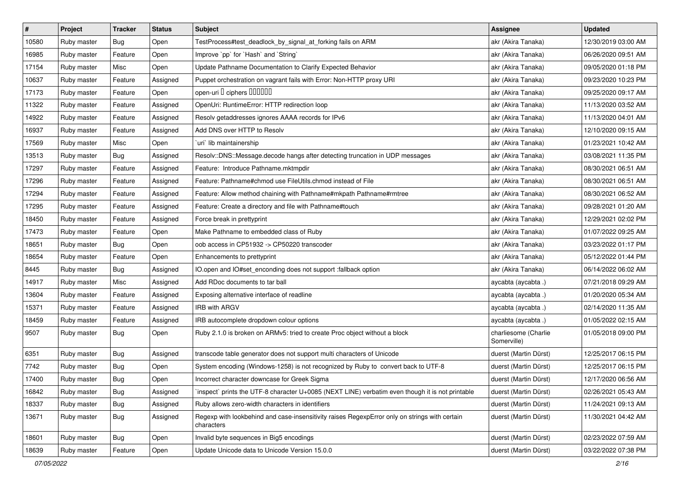| $\sharp$ | Project     | <b>Tracker</b> | <b>Status</b> | <b>Subject</b>                                                                                              | <b>Assignee</b>                     | <b>Updated</b>      |
|----------|-------------|----------------|---------------|-------------------------------------------------------------------------------------------------------------|-------------------------------------|---------------------|
| 10580    | Ruby master | <b>Bug</b>     | Open          | TestProcess#test_deadlock_by_signal_at_forking fails on ARM                                                 | akr (Akira Tanaka)                  | 12/30/2019 03:00 AM |
| 16985    | Ruby master | Feature        | Open          | Improve `pp` for `Hash` and `String`                                                                        | akr (Akira Tanaka)                  | 06/26/2020 09:51 AM |
| 17154    | Ruby master | Misc           | Open          | Update Pathname Documentation to Clarify Expected Behavior                                                  | akr (Akira Tanaka)                  | 09/05/2020 01:18 PM |
| 10637    | Ruby master | Feature        | Assigned      | Puppet orchestration on vagrant fails with Error: Non-HTTP proxy URI                                        | akr (Akira Tanaka)                  | 09/23/2020 10:23 PM |
| 17173    | Ruby master | Feature        | Open          | open-uri I ciphers IIIIIII                                                                                  | akr (Akira Tanaka)                  | 09/25/2020 09:17 AM |
| 11322    | Ruby master | Feature        | Assigned      | OpenUri: RuntimeError: HTTP redirection loop                                                                | akr (Akira Tanaka)                  | 11/13/2020 03:52 AM |
| 14922    | Ruby master | Feature        | Assigned      | Resolv getaddresses ignores AAAA records for IPv6                                                           | akr (Akira Tanaka)                  | 11/13/2020 04:01 AM |
| 16937    | Ruby master | Feature        | Assigned      | Add DNS over HTTP to Resolv                                                                                 | akr (Akira Tanaka)                  | 12/10/2020 09:15 AM |
| 17569    | Ruby master | Misc           | Open          | uri` lib maintainership                                                                                     | akr (Akira Tanaka)                  | 01/23/2021 10:42 AM |
| 13513    | Ruby master | Bug            | Assigned      | Resolv::DNS::Message.decode hangs after detecting truncation in UDP messages                                | akr (Akira Tanaka)                  | 03/08/2021 11:35 PM |
| 17297    | Ruby master | Feature        | Assigned      | Feature: Introduce Pathname.mktmpdir                                                                        | akr (Akira Tanaka)                  | 08/30/2021 06:51 AM |
| 17296    | Ruby master | Feature        | Assigned      | Feature: Pathname#chmod use FileUtils.chmod instead of File                                                 | akr (Akira Tanaka)                  | 08/30/2021 06:51 AM |
| 17294    | Ruby master | Feature        | Assigned      | Feature: Allow method chaining with Pathname#mkpath Pathname#rmtree                                         | akr (Akira Tanaka)                  | 08/30/2021 06:52 AM |
| 17295    | Ruby master | Feature        | Assigned      | Feature: Create a directory and file with Pathname#touch                                                    | akr (Akira Tanaka)                  | 09/28/2021 01:20 AM |
| 18450    | Ruby master | Feature        | Assigned      | Force break in prettyprint                                                                                  | akr (Akira Tanaka)                  | 12/29/2021 02:02 PM |
| 17473    | Ruby master | Feature        | Open          | Make Pathname to embedded class of Ruby                                                                     | akr (Akira Tanaka)                  | 01/07/2022 09:25 AM |
| 18651    | Ruby master | <b>Bug</b>     | Open          | oob access in CP51932 -> CP50220 transcoder                                                                 | akr (Akira Tanaka)                  | 03/23/2022 01:17 PM |
| 18654    | Ruby master | Feature        | Open          | Enhancements to prettyprint                                                                                 | akr (Akira Tanaka)                  | 05/12/2022 01:44 PM |
| 8445     | Ruby master | Bug            | Assigned      | IO.open and IO#set_enconding does not support :fallback option                                              | akr (Akira Tanaka)                  | 06/14/2022 06:02 AM |
| 14917    | Ruby master | Misc           | Assigned      | Add RDoc documents to tar ball                                                                              | aycabta (aycabta.)                  | 07/21/2018 09:29 AM |
| 13604    | Ruby master | Feature        | Assigned      | Exposing alternative interface of readline                                                                  | aycabta (aycabta .)                 | 01/20/2020 05:34 AM |
| 15371    | Ruby master | Feature        | Assigned      | <b>IRB with ARGV</b>                                                                                        | aycabta (aycabta.)                  | 02/14/2020 11:35 AM |
| 18459    | Ruby master | Feature        | Assigned      | IRB autocomplete dropdown colour options                                                                    | aycabta (aycabta.)                  | 01/05/2022 02:15 AM |
| 9507     | Ruby master | <b>Bug</b>     | Open          | Ruby 2.1.0 is broken on ARMv5: tried to create Proc object without a block                                  | charliesome (Charlie<br>Somerville) | 01/05/2018 09:00 PM |
| 6351     | Ruby master | Bug            | Assigned      | transcode table generator does not support multi characters of Unicode                                      | duerst (Martin Dürst)               | 12/25/2017 06:15 PM |
| 7742     | Ruby master | <b>Bug</b>     | Open          | System encoding (Windows-1258) is not recognized by Ruby to convert back to UTF-8                           | duerst (Martin Dürst)               | 12/25/2017 06:15 PM |
| 17400    | Ruby master | <b>Bug</b>     | Open          | Incorrect character downcase for Greek Sigma                                                                | duerst (Martin Dürst)               | 12/17/2020 06:56 AM |
| 16842    | Ruby master | Bug            | Assigned      | inspect` prints the UTF-8 character U+0085 (NEXT LINE) verbatim even though it is not printable             | duerst (Martin Dürst)               | 02/26/2021 05:43 AM |
| 18337    | Ruby master | Bug            | Assigned      | Ruby allows zero-width characters in identifiers                                                            | duerst (Martin Dürst)               | 11/24/2021 09:13 AM |
| 13671    | Ruby master | Bug            | Assigned      | Regexp with lookbehind and case-insensitivity raises RegexpError only on strings with certain<br>characters | duerst (Martin Dürst)               | 11/30/2021 04:42 AM |
| 18601    | Ruby master | Bug            | Open          | Invalid byte sequences in Big5 encodings                                                                    | duerst (Martin Dürst)               | 02/23/2022 07:59 AM |
| 18639    | Ruby master | Feature        | Open          | Update Unicode data to Unicode Version 15.0.0                                                               | duerst (Martin Dürst)               | 03/22/2022 07:38 PM |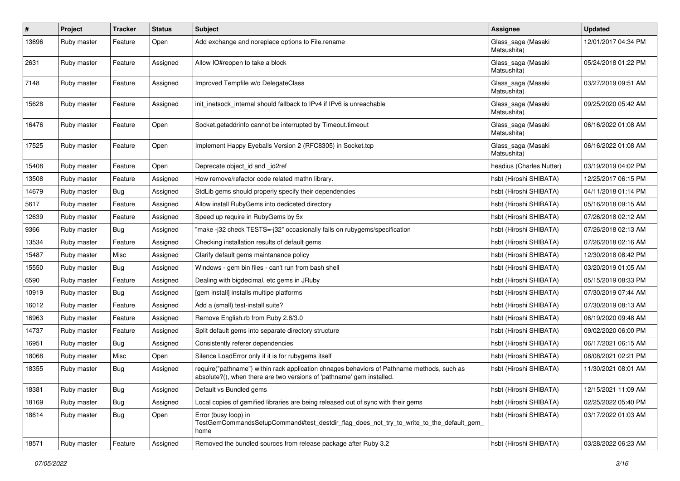| $\sharp$ | Project     | <b>Tracker</b> | <b>Status</b> | <b>Subject</b>                                                                                                                                                      | <b>Assignee</b>                   | <b>Updated</b>      |
|----------|-------------|----------------|---------------|---------------------------------------------------------------------------------------------------------------------------------------------------------------------|-----------------------------------|---------------------|
| 13696    | Ruby master | Feature        | Open          | Add exchange and noreplace options to File.rename                                                                                                                   | Glass_saga (Masaki<br>Matsushita) | 12/01/2017 04:34 PM |
| 2631     | Ruby master | Feature        | Assigned      | Allow IO#reopen to take a block                                                                                                                                     | Glass_saga (Masaki<br>Matsushita) | 05/24/2018 01:22 PM |
| 7148     | Ruby master | Feature        | Assigned      | Improved Tempfile w/o DelegateClass                                                                                                                                 | Glass_saga (Masaki<br>Matsushita) | 03/27/2019 09:51 AM |
| 15628    | Ruby master | Feature        | Assigned      | init_inetsock_internal should fallback to IPv4 if IPv6 is unreachable                                                                                               | Glass_saga (Masaki<br>Matsushita) | 09/25/2020 05:42 AM |
| 16476    | Ruby master | Feature        | Open          | Socket.getaddrinfo cannot be interrupted by Timeout.timeout                                                                                                         | Glass_saga (Masaki<br>Matsushita) | 06/16/2022 01:08 AM |
| 17525    | Ruby master | Feature        | Open          | Implement Happy Eyeballs Version 2 (RFC8305) in Socket.tcp                                                                                                          | Glass_saga (Masaki<br>Matsushita) | 06/16/2022 01:08 AM |
| 15408    | Ruby master | Feature        | Open          | Deprecate object id and id2ref                                                                                                                                      | headius (Charles Nutter)          | 03/19/2019 04:02 PM |
| 13508    | Ruby master | Feature        | Assigned      | How remove/refactor code related mathn library.                                                                                                                     | hsbt (Hiroshi SHIBATA)            | 12/25/2017 06:15 PM |
| 14679    | Ruby master | Bug            | Assigned      | StdLib gems should properly specify their dependencies                                                                                                              | hsbt (Hiroshi SHIBATA)            | 04/11/2018 01:14 PM |
| 5617     | Ruby master | Feature        | Assigned      | Allow install RubyGems into dediceted directory                                                                                                                     | hsbt (Hiroshi SHIBATA)            | 05/16/2018 09:15 AM |
| 12639    | Ruby master | Feature        | Assigned      | Speed up require in RubyGems by 5x                                                                                                                                  | hsbt (Hiroshi SHIBATA)            | 07/26/2018 02:12 AM |
| 9366     | Ruby master | Bug            | Assigned      | "make -j32 check TESTS=-j32" occasionally fails on rubygems/specification                                                                                           | hsbt (Hiroshi SHIBATA)            | 07/26/2018 02:13 AM |
| 13534    | Ruby master | Feature        | Assigned      | Checking installation results of default gems                                                                                                                       | hsbt (Hiroshi SHIBATA)            | 07/26/2018 02:16 AM |
| 15487    | Ruby master | Misc           | Assigned      | Clarify default gems maintanance policy                                                                                                                             | hsbt (Hiroshi SHIBATA)            | 12/30/2018 08:42 PM |
| 15550    | Ruby master | Bug            | Assigned      | Windows - gem bin files - can't run from bash shell                                                                                                                 | hsbt (Hiroshi SHIBATA)            | 03/20/2019 01:05 AM |
| 6590     | Ruby master | Feature        | Assigned      | Dealing with bigdecimal, etc gems in JRuby                                                                                                                          | hsbt (Hiroshi SHIBATA)            | 05/15/2019 08:33 PM |
| 10919    | Ruby master | Bug            | Assigned      | [gem install] installs multipe platforms                                                                                                                            | hsbt (Hiroshi SHIBATA)            | 07/30/2019 07:44 AM |
| 16012    | Ruby master | Feature        | Assigned      | Add a (small) test-install suite?                                                                                                                                   | hsbt (Hiroshi SHIBATA)            | 07/30/2019 08:13 AM |
| 16963    | Ruby master | Feature        | Assigned      | Remove English.rb from Ruby 2.8/3.0                                                                                                                                 | hsbt (Hiroshi SHIBATA)            | 06/19/2020 09:48 AM |
| 14737    | Ruby master | Feature        | Assigned      | Split default gems into separate directory structure                                                                                                                | hsbt (Hiroshi SHIBATA)            | 09/02/2020 06:00 PM |
| 16951    | Ruby master | <b>Bug</b>     | Assigned      | Consistently referer dependencies                                                                                                                                   | hsbt (Hiroshi SHIBATA)            | 06/17/2021 06:15 AM |
| 18068    | Ruby master | Misc           | Open          | Silence LoadError only if it is for rubygems itself                                                                                                                 | hsbt (Hiroshi SHIBATA)            | 08/08/2021 02:21 PM |
| 18355    | Ruby master | Bug            | Assigned      | require("pathname") within rack application chnages behaviors of Pathname methods, such as<br>absolute?(), when there are two versions of 'pathname' gem installed. | hsbt (Hiroshi SHIBATA)            | 11/30/2021 08:01 AM |
| 18381    | Ruby master | <b>Bug</b>     | Assigned      | Default vs Bundled gems                                                                                                                                             | hsbt (Hiroshi SHIBATA)            | 12/15/2021 11:09 AM |
| 18169    | Ruby master | Bug            | Assigned      | Local copies of gemified libraries are being released out of sync with their gems                                                                                   | hsbt (Hiroshi SHIBATA)            | 02/25/2022 05:40 PM |
| 18614    | Ruby master | <b>Bug</b>     | Open          | Error (busy loop) in<br>TestGemCommandsSetupCommand#test_destdir_flag_does_not_try_to_write_to_the_default_gem<br>home                                              | hsbt (Hiroshi SHIBATA)            | 03/17/2022 01:03 AM |
| 18571    | Ruby master | Feature        | Assigned      | Removed the bundled sources from release package after Ruby 3.2                                                                                                     | hsbt (Hiroshi SHIBATA)            | 03/28/2022 06:23 AM |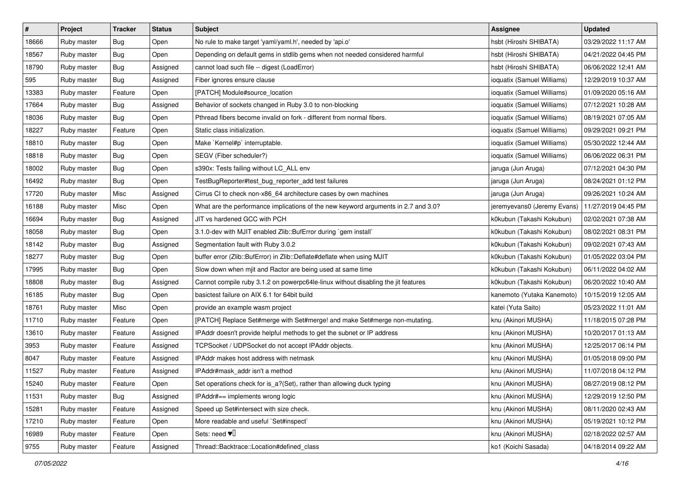| $\vert$ # | Project     | Tracker    | <b>Status</b> | <b>Subject</b>                                                                     | <b>Assignee</b>             | <b>Updated</b>      |
|-----------|-------------|------------|---------------|------------------------------------------------------------------------------------|-----------------------------|---------------------|
| 18666     | Ruby master | <b>Bug</b> | Open          | No rule to make target 'yaml/yaml.h', needed by 'api.o'                            | hsbt (Hiroshi SHIBATA)      | 03/29/2022 11:17 AM |
| 18567     | Ruby master | Bug        | Open          | Depending on default gems in stdlib gems when not needed considered harmful        | hsbt (Hiroshi SHIBATA)      | 04/21/2022 04:45 PM |
| 18790     | Ruby master | <b>Bug</b> | Assigned      | cannot load such file -- digest (LoadError)                                        | hsbt (Hiroshi SHIBATA)      | 06/06/2022 12:41 AM |
| 595       | Ruby master | <b>Bug</b> | Assigned      | Fiber ignores ensure clause                                                        | ioquatix (Samuel Williams)  | 12/29/2019 10:37 AM |
| 13383     | Ruby master | Feature    | Open          | [PATCH] Module#source_location                                                     | ioquatix (Samuel Williams)  | 01/09/2020 05:16 AM |
| 17664     | Ruby master | <b>Bug</b> | Assigned      | Behavior of sockets changed in Ruby 3.0 to non-blocking                            | ioquatix (Samuel Williams)  | 07/12/2021 10:28 AM |
| 18036     | Ruby master | Bug        | Open          | Pthread fibers become invalid on fork - different from normal fibers.              | ioquatix (Samuel Williams)  | 08/19/2021 07:05 AM |
| 18227     | Ruby master | Feature    | Open          | Static class initialization.                                                       | ioquatix (Samuel Williams)  | 09/29/2021 09:21 PM |
| 18810     | Ruby master | Bug        | Open          | Make `Kernel#p` interruptable.                                                     | ioquatix (Samuel Williams)  | 05/30/2022 12:44 AM |
| 18818     | Ruby master | Bug        | Open          | SEGV (Fiber scheduler?)                                                            | ioquatix (Samuel Williams)  | 06/06/2022 06:31 PM |
| 18002     | Ruby master | <b>Bug</b> | Open          | s390x: Tests failing without LC_ALL env                                            | jaruga (Jun Aruga)          | 07/12/2021 04:30 PM |
| 16492     | Ruby master | <b>Bug</b> | Open          | TestBugReporter#test_bug_reporter_add test failures                                | jaruga (Jun Aruga)          | 08/24/2021 01:12 PM |
| 17720     | Ruby master | Misc       | Assigned      | Cirrus CI to check non-x86_64 architecture cases by own machines                   | jaruga (Jun Aruga)          | 09/26/2021 10:24 AM |
| 16188     | Ruby master | Misc       | Open          | What are the performance implications of the new keyword arguments in 2.7 and 3.0? | jeremyevans0 (Jeremy Evans) | 11/27/2019 04:45 PM |
| 16694     | Ruby master | <b>Bug</b> | Assigned      | JIT vs hardened GCC with PCH                                                       | k0kubun (Takashi Kokubun)   | 02/02/2021 07:38 AM |
| 18058     | Ruby master | Bug        | Open          | 3.1.0-dev with MJIT enabled Zlib::BufError during `gem install`                    | k0kubun (Takashi Kokubun)   | 08/02/2021 08:31 PM |
| 18142     | Ruby master | Bug        | Assigned      | Segmentation fault with Ruby 3.0.2                                                 | k0kubun (Takashi Kokubun)   | 09/02/2021 07:43 AM |
| 18277     | Ruby master | Bug        | Open          | buffer error (Zlib::BufError) in Zlib::Deflate#deflate when using MJIT             | k0kubun (Takashi Kokubun)   | 01/05/2022 03:04 PM |
| 17995     | Ruby master | <b>Bug</b> | Open          | Slow down when mjit and Ractor are being used at same time                         | k0kubun (Takashi Kokubun)   | 06/11/2022 04:02 AM |
| 18808     | Ruby master | <b>Bug</b> | Assigned      | Cannot compile ruby 3.1.2 on powerpc64le-linux without disabling the jit features  | k0kubun (Takashi Kokubun)   | 06/20/2022 10:40 AM |
| 16185     | Ruby master | <b>Bug</b> | Open          | basictest failure on AIX 6.1 for 64bit build                                       | kanemoto (Yutaka Kanemoto)  | 10/15/2019 12:05 AM |
| 18761     | Ruby master | Misc       | Open          | provide an example wasm project                                                    | katei (Yuta Saito)          | 05/23/2022 11:01 AM |
| 11710     | Ruby master | Feature    | Open          | [PATCH] Replace Set#merge with Set#merge! and make Set#merge non-mutating.         | knu (Akinori MUSHA)         | 11/18/2015 07:28 PM |
| 13610     | Ruby master | Feature    | Assigned      | IPAddr doesn't provide helpful methods to get the subnet or IP address             | knu (Akinori MUSHA)         | 10/20/2017 01:13 AM |
| 3953      | Ruby master | Feature    | Assigned      | TCPSocket / UDPSocket do not accept IPAddr objects.                                | knu (Akinori MUSHA)         | 12/25/2017 06:14 PM |
| 8047      | Ruby master | Feature    | Assigned      | <b>IPAddr makes host address with netmask</b>                                      | knu (Akinori MUSHA)         | 01/05/2018 09:00 PM |
| 11527     | Ruby master | Feature    | Assigned      | IPAddr#mask_addr isn't a method                                                    | knu (Akinori MUSHA)         | 11/07/2018 04:12 PM |
| 15240     | Ruby master | Feature    | Open          | Set operations check for is_a?(Set), rather than allowing duck typing              | knu (Akinori MUSHA)         | 08/27/2019 08:12 PM |
| 11531     | Ruby master | Bug        | Assigned      | IPAddr#== implements wrong logic                                                   | knu (Akinori MUSHA)         | 12/29/2019 12:50 PM |
| 15281     | Ruby master | Feature    | Assigned      | Speed up Set#intersect with size check.                                            | knu (Akinori MUSHA)         | 08/11/2020 02:43 AM |
| 17210     | Ruby master | Feature    | Open          | More readable and useful `Set#inspect`                                             | knu (Akinori MUSHA)         | 05/19/2021 10:12 PM |
| 16989     | Ruby master | Feature    | Open          | Sets: need $\Psi$ <sup><math>\Box</math></sup>                                     | knu (Akinori MUSHA)         | 02/18/2022 02:57 AM |
| 9755      | Ruby master | Feature    | Assigned      | Thread::Backtrace::Location#defined_class                                          | ko1 (Koichi Sasada)         | 04/18/2014 09:22 AM |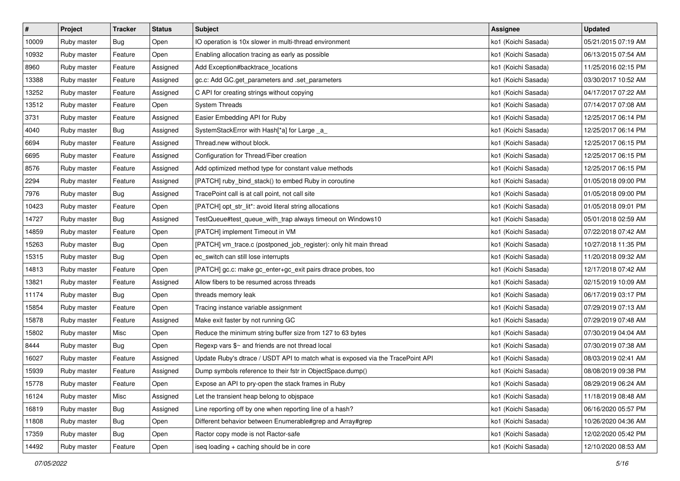| $\vert$ # | Project     | Tracker    | <b>Status</b> | <b>Subject</b>                                                                  | <b>Assignee</b>     | <b>Updated</b>      |
|-----------|-------------|------------|---------------|---------------------------------------------------------------------------------|---------------------|---------------------|
| 10009     | Ruby master | Bug        | Open          | IO operation is 10x slower in multi-thread environment                          | ko1 (Koichi Sasada) | 05/21/2015 07:19 AM |
| 10932     | Ruby master | Feature    | Open          | Enabling allocation tracing as early as possible                                | ko1 (Koichi Sasada) | 06/13/2015 07:54 AM |
| 8960      | Ruby master | Feature    | Assigned      | Add Exception#backtrace_locations                                               | ko1 (Koichi Sasada) | 11/25/2016 02:15 PM |
| 13388     | Ruby master | Feature    | Assigned      | gc.c: Add GC.get_parameters and .set_parameters                                 | ko1 (Koichi Sasada) | 03/30/2017 10:52 AM |
| 13252     | Ruby master | Feature    | Assigned      | C API for creating strings without copying                                      | ko1 (Koichi Sasada) | 04/17/2017 07:22 AM |
| 13512     | Ruby master | Feature    | Open          | <b>System Threads</b>                                                           | ko1 (Koichi Sasada) | 07/14/2017 07:08 AM |
| 3731      | Ruby master | Feature    | Assigned      | Easier Embedding API for Ruby                                                   | ko1 (Koichi Sasada) | 12/25/2017 06:14 PM |
| 4040      | Ruby master | <b>Bug</b> | Assigned      | SystemStackError with Hash[*a] for Large _a_                                    | ko1 (Koichi Sasada) | 12/25/2017 06:14 PM |
| 6694      | Ruby master | Feature    | Assigned      | Thread.new without block.                                                       | ko1 (Koichi Sasada) | 12/25/2017 06:15 PM |
| 6695      | Ruby master | Feature    | Assigned      | Configuration for Thread/Fiber creation                                         | ko1 (Koichi Sasada) | 12/25/2017 06:15 PM |
| 8576      | Ruby master | Feature    | Assigned      | Add optimized method type for constant value methods                            | ko1 (Koichi Sasada) | 12/25/2017 06:15 PM |
| 2294      | Ruby master | Feature    | Assigned      | [PATCH] ruby_bind_stack() to embed Ruby in coroutine                            | ko1 (Koichi Sasada) | 01/05/2018 09:00 PM |
| 7976      | Ruby master | Bug        | Assigned      | TracePoint call is at call point, not call site                                 | ko1 (Koichi Sasada) | 01/05/2018 09:00 PM |
| 10423     | Ruby master | Feature    | Open          | [PATCH] opt_str_lit*: avoid literal string allocations                          | ko1 (Koichi Sasada) | 01/05/2018 09:01 PM |
| 14727     | Ruby master | Bug        | Assigned      | TestQueue#test_queue_with_trap always timeout on Windows10                      | ko1 (Koichi Sasada) | 05/01/2018 02:59 AM |
| 14859     | Ruby master | Feature    | Open          | [PATCH] implement Timeout in VM                                                 | ko1 (Koichi Sasada) | 07/22/2018 07:42 AM |
| 15263     | Ruby master | Bug        | Open          | [PATCH] vm_trace.c (postponed_job_register): only hit main thread               | ko1 (Koichi Sasada) | 10/27/2018 11:35 PM |
| 15315     | Ruby master | Bug        | Open          | ec_switch can still lose interrupts                                             | ko1 (Koichi Sasada) | 11/20/2018 09:32 AM |
| 14813     | Ruby master | Feature    | Open          | [PATCH] gc.c: make gc_enter+gc_exit pairs dtrace probes, too                    | ko1 (Koichi Sasada) | 12/17/2018 07:42 AM |
| 13821     | Ruby master | Feature    | Assigned      | Allow fibers to be resumed across threads                                       | ko1 (Koichi Sasada) | 02/15/2019 10:09 AM |
| 11174     | Ruby master | <b>Bug</b> | Open          | threads memory leak                                                             | ko1 (Koichi Sasada) | 06/17/2019 03:17 PM |
| 15854     | Ruby master | Feature    | Open          | Tracing instance variable assignment                                            | ko1 (Koichi Sasada) | 07/29/2019 07:13 AM |
| 15878     | Ruby master | Feature    | Assigned      | Make exit faster by not running GC                                              | ko1 (Koichi Sasada) | 07/29/2019 07:48 AM |
| 15802     | Ruby master | Misc       | Open          | Reduce the minimum string buffer size from 127 to 63 bytes                      | ko1 (Koichi Sasada) | 07/30/2019 04:04 AM |
| 8444      | Ruby master | Bug        | Open          | Regexp vars \$~ and friends are not thread local                                | ko1 (Koichi Sasada) | 07/30/2019 07:38 AM |
| 16027     | Ruby master | Feature    | Assigned      | Update Ruby's dtrace / USDT API to match what is exposed via the TracePoint API | ko1 (Koichi Sasada) | 08/03/2019 02:41 AM |
| 15939     | Ruby master | Feature    | Assigned      | Dump symbols reference to their fstr in ObjectSpace.dump()                      | ko1 (Koichi Sasada) | 08/08/2019 09:38 PM |
| 15778     | Ruby master | Feature    | Open          | Expose an API to pry-open the stack frames in Ruby                              | ko1 (Koichi Sasada) | 08/29/2019 06:24 AM |
| 16124     | Ruby master | Misc       | Assigned      | Let the transient heap belong to objspace                                       | ko1 (Koichi Sasada) | 11/18/2019 08:48 AM |
| 16819     | Ruby master | Bug        | Assigned      | Line reporting off by one when reporting line of a hash?                        | ko1 (Koichi Sasada) | 06/16/2020 05:57 PM |
| 11808     | Ruby master | <b>Bug</b> | Open          | Different behavior between Enumerable#grep and Array#grep                       | ko1 (Koichi Sasada) | 10/26/2020 04:36 AM |
| 17359     | Ruby master | Bug        | Open          | Ractor copy mode is not Ractor-safe                                             | ko1 (Koichi Sasada) | 12/02/2020 05:42 PM |
| 14492     | Ruby master | Feature    | Open          | iseq loading + caching should be in core                                        | ko1 (Koichi Sasada) | 12/10/2020 08:53 AM |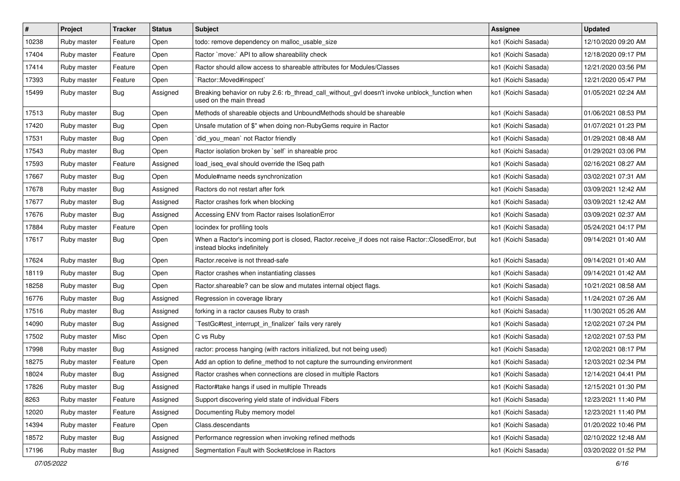| $\vert$ # | Project     | <b>Tracker</b> | <b>Status</b> | <b>Subject</b>                                                                                                                    | Assignee            | <b>Updated</b>      |
|-----------|-------------|----------------|---------------|-----------------------------------------------------------------------------------------------------------------------------------|---------------------|---------------------|
| 10238     | Ruby master | Feature        | Open          | todo: remove dependency on malloc_usable_size                                                                                     | ko1 (Koichi Sasada) | 12/10/2020 09:20 AM |
| 17404     | Ruby master | Feature        | Open          | Ractor `move:` API to allow shareability check                                                                                    | ko1 (Koichi Sasada) | 12/18/2020 09:17 PM |
| 17414     | Ruby master | Feature        | Open          | Ractor should allow access to shareable attributes for Modules/Classes                                                            | ko1 (Koichi Sasada) | 12/21/2020 03:56 PM |
| 17393     | Ruby master | Feature        | Open          | `Ractor::Moved#inspect`                                                                                                           | ko1 (Koichi Sasada) | 12/21/2020 05:47 PM |
| 15499     | Ruby master | Bug            | Assigned      | Breaking behavior on ruby 2.6: rb_thread_call_without_gvl doesn't invoke unblock_function when<br>used on the main thread         | ko1 (Koichi Sasada) | 01/05/2021 02:24 AM |
| 17513     | Ruby master | Bug            | Open          | Methods of shareable objects and UnboundMethods should be shareable                                                               | ko1 (Koichi Sasada) | 01/06/2021 08:53 PM |
| 17420     | Ruby master | Bug            | Open          | Unsafe mutation of \$" when doing non-RubyGems require in Ractor                                                                  | ko1 (Koichi Sasada) | 01/07/2021 01:23 PM |
| 17531     | Ruby master | Bug            | Open          | `did_you_mean` not Ractor friendly                                                                                                | ko1 (Koichi Sasada) | 01/29/2021 08:48 AM |
| 17543     | Ruby master | <b>Bug</b>     | Open          | Ractor isolation broken by `self` in shareable proc                                                                               | ko1 (Koichi Sasada) | 01/29/2021 03:06 PM |
| 17593     | Ruby master | Feature        | Assigned      | load_iseq_eval should override the ISeq path                                                                                      | ko1 (Koichi Sasada) | 02/16/2021 08:27 AM |
| 17667     | Ruby master | Bug            | Open          | Module#name needs synchronization                                                                                                 | ko1 (Koichi Sasada) | 03/02/2021 07:31 AM |
| 17678     | Ruby master | Bug            | Assigned      | Ractors do not restart after fork                                                                                                 | ko1 (Koichi Sasada) | 03/09/2021 12:42 AM |
| 17677     | Ruby master | <b>Bug</b>     | Assigned      | Ractor crashes fork when blocking                                                                                                 | ko1 (Koichi Sasada) | 03/09/2021 12:42 AM |
| 17676     | Ruby master | Bug            | Assigned      | Accessing ENV from Ractor raises IsolationError                                                                                   | ko1 (Koichi Sasada) | 03/09/2021 02:37 AM |
| 17884     | Ruby master | Feature        | Open          | locindex for profiling tools                                                                                                      | ko1 (Koichi Sasada) | 05/24/2021 04:17 PM |
| 17617     | Ruby master | Bug            | Open          | When a Ractor's incoming port is closed, Ractor.receive_if does not raise Ractor::ClosedError, but<br>instead blocks indefinitely | ko1 (Koichi Sasada) | 09/14/2021 01:40 AM |
| 17624     | Ruby master | Bug            | Open          | Ractor.receive is not thread-safe                                                                                                 | ko1 (Koichi Sasada) | 09/14/2021 01:40 AM |
| 18119     | Ruby master | Bug            | Open          | Ractor crashes when instantiating classes                                                                                         | ko1 (Koichi Sasada) | 09/14/2021 01:42 AM |
| 18258     | Ruby master | Bug            | Open          | Ractor.shareable? can be slow and mutates internal object flags.                                                                  | ko1 (Koichi Sasada) | 10/21/2021 08:58 AM |
| 16776     | Ruby master | Bug            | Assigned      | Regression in coverage library                                                                                                    | ko1 (Koichi Sasada) | 11/24/2021 07:26 AM |
| 17516     | Ruby master | Bug            | Assigned      | forking in a ractor causes Ruby to crash                                                                                          | ko1 (Koichi Sasada) | 11/30/2021 05:26 AM |
| 14090     | Ruby master | <b>Bug</b>     | Assigned      | TestGc#test_interrupt_in_finalizer` fails very rarely                                                                             | ko1 (Koichi Sasada) | 12/02/2021 07:24 PM |
| 17502     | Ruby master | Misc           | Open          | C vs Ruby                                                                                                                         | ko1 (Koichi Sasada) | 12/02/2021 07:53 PM |
| 17998     | Ruby master | Bug            | Assigned      | ractor: process hanging (with ractors initialized, but not being used)                                                            | ko1 (Koichi Sasada) | 12/02/2021 08:17 PM |
| 18275     | Ruby master | Feature        | Open          | Add an option to define_method to not capture the surrounding environment                                                         | ko1 (Koichi Sasada) | 12/03/2021 02:34 PM |
| 18024     | Ruby master | Bug            | Assigned      | Ractor crashes when connections are closed in multiple Ractors                                                                    | ko1 (Koichi Sasada) | 12/14/2021 04:41 PM |
| 17826     | Ruby master | Bug            | Assigned      | Ractor#take hangs if used in multiple Threads                                                                                     | ko1 (Koichi Sasada) | 12/15/2021 01:30 PM |
| 8263      | Ruby master | Feature        | Assigned      | Support discovering yield state of individual Fibers                                                                              | ko1 (Koichi Sasada) | 12/23/2021 11:40 PM |
| 12020     | Ruby master | Feature        | Assigned      | Documenting Ruby memory model                                                                                                     | ko1 (Koichi Sasada) | 12/23/2021 11:40 PM |
| 14394     | Ruby master | Feature        | Open          | Class.descendants                                                                                                                 | ko1 (Koichi Sasada) | 01/20/2022 10:46 PM |
| 18572     | Ruby master | Bug            | Assigned      | Performance regression when invoking refined methods                                                                              | ko1 (Koichi Sasada) | 02/10/2022 12:48 AM |
| 17196     | Ruby master | <b>Bug</b>     | Assigned      | Segmentation Fault with Socket#close in Ractors                                                                                   | ko1 (Koichi Sasada) | 03/20/2022 01:52 PM |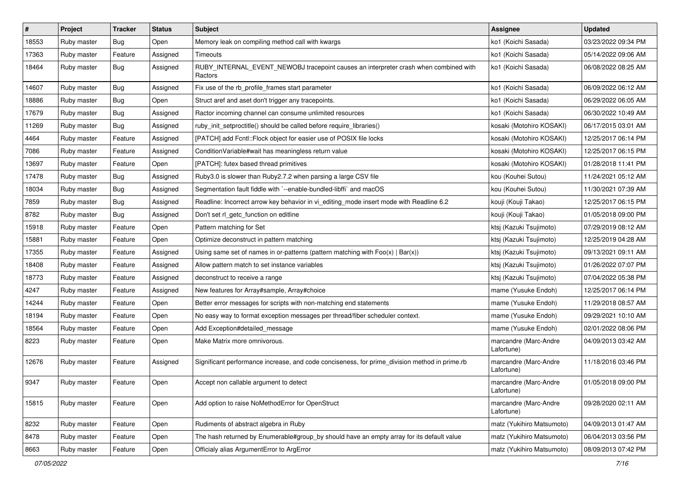| $\vert$ # | Project     | <b>Tracker</b> | <b>Status</b> | <b>Subject</b>                                                                                  | <b>Assignee</b>                     | <b>Updated</b>      |
|-----------|-------------|----------------|---------------|-------------------------------------------------------------------------------------------------|-------------------------------------|---------------------|
| 18553     | Ruby master | <b>Bug</b>     | Open          | Memory leak on compiling method call with kwargs                                                | ko1 (Koichi Sasada)                 | 03/23/2022 09:34 PM |
| 17363     | Ruby master | Feature        | Assigned      | Timeouts                                                                                        | ko1 (Koichi Sasada)                 | 05/14/2022 09:06 AM |
| 18464     | Ruby master | Bug            | Assigned      | RUBY_INTERNAL_EVENT_NEWOBJ tracepoint causes an interpreter crash when combined with<br>Ractors | ko1 (Koichi Sasada)                 | 06/08/2022 08:25 AM |
| 14607     | Ruby master | Bug            | Assigned      | Fix use of the rb_profile_frames start parameter                                                | ko1 (Koichi Sasada)                 | 06/09/2022 06:12 AM |
| 18886     | Ruby master | Bug            | Open          | Struct aref and aset don't trigger any tracepoints.                                             | ko1 (Koichi Sasada)                 | 06/29/2022 06:05 AM |
| 17679     | Ruby master | Bug            | Assigned      | Ractor incoming channel can consume unlimited resources                                         | ko1 (Koichi Sasada)                 | 06/30/2022 10:49 AM |
| 11269     | Ruby master | Bug            | Assigned      | ruby_init_setproctitle() should be called before require_libraries()                            | kosaki (Motohiro KOSAKI)            | 06/17/2015 03:01 AM |
| 4464      | Ruby master | Feature        | Assigned      | [PATCH] add Fcntl::Flock object for easier use of POSIX file locks                              | kosaki (Motohiro KOSAKI)            | 12/25/2017 06:14 PM |
| 7086      | Ruby master | Feature        | Assigned      | ConditionVariable#wait has meaningless return value                                             | kosaki (Motohiro KOSAKI)            | 12/25/2017 06:15 PM |
| 13697     | Ruby master | Feature        | Open          | [PATCH]: futex based thread primitives                                                          | kosaki (Motohiro KOSAKI)            | 01/28/2018 11:41 PM |
| 17478     | Ruby master | Bug            | Assigned      | Ruby3.0 is slower than Ruby2.7.2 when parsing a large CSV file                                  | kou (Kouhei Sutou)                  | 11/24/2021 05:12 AM |
| 18034     | Ruby master | Bug            | Assigned      | Segmentation fault fiddle with `--enable-bundled-libffi` and macOS                              | kou (Kouhei Sutou)                  | 11/30/2021 07:39 AM |
| 7859      | Ruby master | Bug            | Assigned      | Readline: Incorrect arrow key behavior in vi_editing_mode insert mode with Readline 6.2         | kouji (Kouji Takao)                 | 12/25/2017 06:15 PM |
| 8782      | Ruby master | <b>Bug</b>     | Assigned      | Don't set rl_getc_function on editline                                                          | kouji (Kouji Takao)                 | 01/05/2018 09:00 PM |
| 15918     | Ruby master | Feature        | Open          | Pattern matching for Set                                                                        | ktsj (Kazuki Tsujimoto)             | 07/29/2019 08:12 AM |
| 15881     | Ruby master | Feature        | Open          | Optimize deconstruct in pattern matching                                                        | ktsj (Kazuki Tsujimoto)             | 12/25/2019 04:28 AM |
| 17355     | Ruby master | Feature        | Assigned      | Using same set of names in or-patterns (pattern matching with $Foo(x)   Bar(x)$ )               | ktsj (Kazuki Tsujimoto)             | 09/13/2021 09:11 AM |
| 18408     | Ruby master | Feature        | Assigned      | Allow pattern match to set instance variables                                                   | ktsj (Kazuki Tsujimoto)             | 01/26/2022 07:07 PM |
| 18773     | Ruby master | Feature        | Assigned      | deconstruct to receive a range                                                                  | ktsj (Kazuki Tsujimoto)             | 07/04/2022 05:38 PM |
| 4247      | Ruby master | Feature        | Assigned      | New features for Array#sample, Array#choice                                                     | mame (Yusuke Endoh)                 | 12/25/2017 06:14 PM |
| 14244     | Ruby master | Feature        | Open          | Better error messages for scripts with non-matching end statements                              | mame (Yusuke Endoh)                 | 11/29/2018 08:57 AM |
| 18194     | Ruby master | Feature        | Open          | No easy way to format exception messages per thread/fiber scheduler context.                    | mame (Yusuke Endoh)                 | 09/29/2021 10:10 AM |
| 18564     | Ruby master | Feature        | Open          | Add Exception#detailed_message                                                                  | mame (Yusuke Endoh)                 | 02/01/2022 08:06 PM |
| 8223      | Ruby master | Feature        | Open          | Make Matrix more omnivorous.                                                                    | marcandre (Marc-Andre<br>Lafortune) | 04/09/2013 03:42 AM |
| 12676     | Ruby master | Feature        | Assigned      | Significant performance increase, and code conciseness, for prime_division method in prime.rb   | marcandre (Marc-Andre<br>Lafortune) | 11/18/2016 03:46 PM |
| 9347      | Ruby master | Feature        | Open          | Accept non callable argument to detect                                                          | marcandre (Marc-Andre<br>Lafortune) | 01/05/2018 09:00 PM |
| 15815     | Ruby master | Feature        | Open          | Add option to raise NoMethodError for OpenStruct                                                | marcandre (Marc-Andre<br>Lafortune) | 09/28/2020 02:11 AM |
| 8232      | Ruby master | Feature        | Open          | Rudiments of abstract algebra in Ruby                                                           | matz (Yukihiro Matsumoto)           | 04/09/2013 01:47 AM |
| 8478      | Ruby master | Feature        | Open          | The hash returned by Enumerable#group_by should have an empty array for its default value       | matz (Yukihiro Matsumoto)           | 06/04/2013 03:56 PM |
| 8663      | Ruby master | Feature        | Open          | Officialy alias ArgumentError to ArgError                                                       | matz (Yukihiro Matsumoto)           | 08/09/2013 07:42 PM |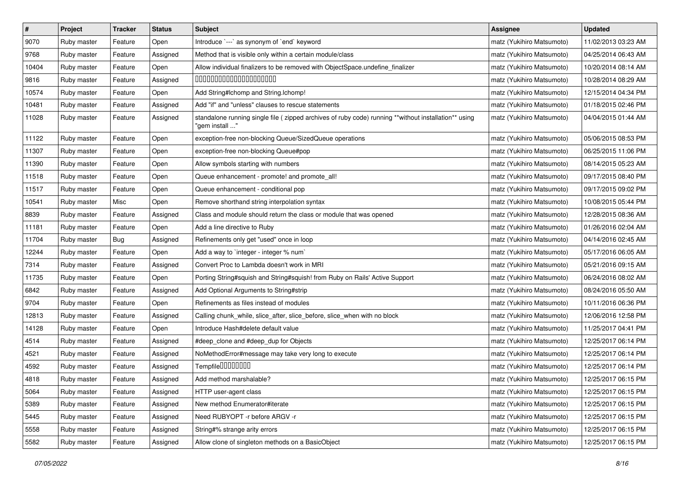| $\pmb{\#}$ | Project     | <b>Tracker</b> | <b>Status</b> | <b>Subject</b>                                                                                                         | <b>Assignee</b>           | <b>Updated</b>      |
|------------|-------------|----------------|---------------|------------------------------------------------------------------------------------------------------------------------|---------------------------|---------------------|
| 9070       | Ruby master | Feature        | Open          | Introduce `---` as synonym of `end` keyword                                                                            | matz (Yukihiro Matsumoto) | 11/02/2013 03:23 AM |
| 9768       | Ruby master | Feature        | Assigned      | Method that is visible only within a certain module/class                                                              | matz (Yukihiro Matsumoto) | 04/25/2014 06:43 AM |
| 10404      | Ruby master | Feature        | Open          | Allow individual finalizers to be removed with ObjectSpace.undefine_finalizer                                          | matz (Yukihiro Matsumoto) | 10/20/2014 08:14 AM |
| 9816       | Ruby master | Feature        | Assigned      | 00000000000000000000                                                                                                   | matz (Yukihiro Matsumoto) | 10/28/2014 08:29 AM |
| 10574      | Ruby master | Feature        | Open          | Add String#Ichomp and String.Ichomp!                                                                                   | matz (Yukihiro Matsumoto) | 12/15/2014 04:34 PM |
| 10481      | Ruby master | Feature        | Assigned      | Add "if" and "unless" clauses to rescue statements                                                                     | matz (Yukihiro Matsumoto) | 01/18/2015 02:46 PM |
| 11028      | Ruby master | Feature        | Assigned      | standalone running single file (zipped archives of ruby code) running **without installation** using<br>"gem install " | matz (Yukihiro Matsumoto) | 04/04/2015 01:44 AM |
| 11122      | Ruby master | Feature        | Open          | exception-free non-blocking Queue/SizedQueue operations                                                                | matz (Yukihiro Matsumoto) | 05/06/2015 08:53 PM |
| 11307      | Ruby master | Feature        | Open          | exception-free non-blocking Queue#pop                                                                                  | matz (Yukihiro Matsumoto) | 06/25/2015 11:06 PM |
| 11390      | Ruby master | Feature        | Open          | Allow symbols starting with numbers                                                                                    | matz (Yukihiro Matsumoto) | 08/14/2015 05:23 AM |
| 11518      | Ruby master | Feature        | Open          | Queue enhancement - promote! and promote_all!                                                                          | matz (Yukihiro Matsumoto) | 09/17/2015 08:40 PM |
| 11517      | Ruby master | Feature        | Open          | Queue enhancement - conditional pop                                                                                    | matz (Yukihiro Matsumoto) | 09/17/2015 09:02 PM |
| 10541      | Ruby master | Misc           | Open          | Remove shorthand string interpolation syntax                                                                           | matz (Yukihiro Matsumoto) | 10/08/2015 05:44 PM |
| 8839       | Ruby master | Feature        | Assigned      | Class and module should return the class or module that was opened                                                     | matz (Yukihiro Matsumoto) | 12/28/2015 08:36 AM |
| 11181      | Ruby master | Feature        | Open          | Add a line directive to Ruby                                                                                           | matz (Yukihiro Matsumoto) | 01/26/2016 02:04 AM |
| 11704      | Ruby master | Bug            | Assigned      | Refinements only get "used" once in loop                                                                               | matz (Yukihiro Matsumoto) | 04/14/2016 02:45 AM |
| 12244      | Ruby master | Feature        | Open          | Add a way to `integer - integer % num`                                                                                 | matz (Yukihiro Matsumoto) | 05/17/2016 06:05 AM |
| 7314       | Ruby master | Feature        | Assigned      | Convert Proc to Lambda doesn't work in MRI                                                                             | matz (Yukihiro Matsumoto) | 05/21/2016 09:15 AM |
| 11735      | Ruby master | Feature        | Open          | Porting String#squish and String#squish! from Ruby on Rails' Active Support                                            | matz (Yukihiro Matsumoto) | 06/24/2016 08:02 AM |
| 6842       | Ruby master | Feature        | Assigned      | Add Optional Arguments to String#strip                                                                                 | matz (Yukihiro Matsumoto) | 08/24/2016 05:50 AM |
| 9704       | Ruby master | Feature        | Open          | Refinements as files instead of modules                                                                                | matz (Yukihiro Matsumoto) | 10/11/2016 06:36 PM |
| 12813      | Ruby master | Feature        | Assigned      | Calling chunk_while, slice_after, slice_before, slice_when with no block                                               | matz (Yukihiro Matsumoto) | 12/06/2016 12:58 PM |
| 14128      | Ruby master | Feature        | Open          | Introduce Hash#delete default value                                                                                    | matz (Yukihiro Matsumoto) | 11/25/2017 04:41 PM |
| 4514       | Ruby master | Feature        | Assigned      | #deep_clone and #deep_dup for Objects                                                                                  | matz (Yukihiro Matsumoto) | 12/25/2017 06:14 PM |
| 4521       | Ruby master | Feature        | Assigned      | NoMethodError#message may take very long to execute                                                                    | matz (Yukihiro Matsumoto) | 12/25/2017 06:14 PM |
| 4592       | Ruby master | Feature        | Assigned      | Tempfile0000000                                                                                                        | matz (Yukihiro Matsumoto) | 12/25/2017 06:14 PM |
| 4818       | Ruby master | Feature        | Assigned      | Add method marshalable?                                                                                                | matz (Yukihiro Matsumoto) | 12/25/2017 06:15 PM |
| 5064       | Ruby master | Feature        | Assigned      | HTTP user-agent class                                                                                                  | matz (Yukihiro Matsumoto) | 12/25/2017 06:15 PM |
| 5389       | Ruby master | Feature        | Assigned      | New method Enumerator#iterate                                                                                          | matz (Yukihiro Matsumoto) | 12/25/2017 06:15 PM |
| 5445       | Ruby master | Feature        | Assigned      | Need RUBYOPT - r before ARGV - r                                                                                       | matz (Yukihiro Matsumoto) | 12/25/2017 06:15 PM |
| 5558       | Ruby master | Feature        | Assigned      | String#% strange arity errors                                                                                          | matz (Yukihiro Matsumoto) | 12/25/2017 06:15 PM |
| 5582       | Ruby master | Feature        | Assigned      | Allow clone of singleton methods on a BasicObject                                                                      | matz (Yukihiro Matsumoto) | 12/25/2017 06:15 PM |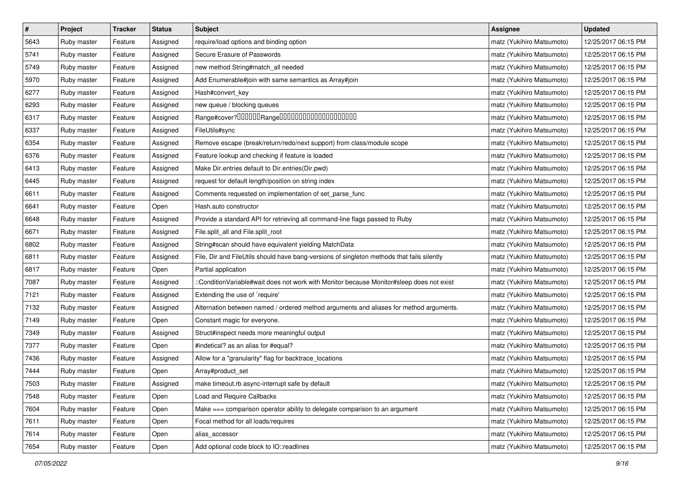| $\vert$ # | Project     | <b>Tracker</b> | <b>Status</b> | <b>Subject</b>                                                                             | <b>Assignee</b>           | <b>Updated</b>      |
|-----------|-------------|----------------|---------------|--------------------------------------------------------------------------------------------|---------------------------|---------------------|
| 5643      | Ruby master | Feature        | Assigned      | require/load options and binding option                                                    | matz (Yukihiro Matsumoto) | 12/25/2017 06:15 PM |
| 5741      | Ruby master | Feature        | Assigned      | Secure Erasure of Passwords                                                                | matz (Yukihiro Matsumoto) | 12/25/2017 06:15 PM |
| 5749      | Ruby master | Feature        | Assigned      | new method String#match_all needed                                                         | matz (Yukihiro Matsumoto) | 12/25/2017 06:15 PM |
| 5970      | Ruby master | Feature        | Assigned      | Add Enumerable#join with same semantics as Array#join                                      | matz (Yukihiro Matsumoto) | 12/25/2017 06:15 PM |
| 6277      | Ruby master | Feature        | Assigned      | Hash#convert_key                                                                           | matz (Yukihiro Matsumoto) | 12/25/2017 06:15 PM |
| 6293      | Ruby master | Feature        | Assigned      | new queue / blocking queues                                                                | matz (Yukihiro Matsumoto) | 12/25/2017 06:15 PM |
| 6317      | Ruby master | Feature        | Assigned      | Range#cover?000000Range00000000000000000000                                                | matz (Yukihiro Matsumoto) | 12/25/2017 06:15 PM |
| 6337      | Ruby master | Feature        | Assigned      | FileUtils#sync                                                                             | matz (Yukihiro Matsumoto) | 12/25/2017 06:15 PM |
| 6354      | Ruby master | Feature        | Assigned      | Remove escape (break/return/redo/next support) from class/module scope                     | matz (Yukihiro Matsumoto) | 12/25/2017 06:15 PM |
| 6376      | Ruby master | Feature        | Assigned      | Feature lookup and checking if feature is loaded                                           | matz (Yukihiro Matsumoto) | 12/25/2017 06:15 PM |
| 6413      | Ruby master | Feature        | Assigned      | Make Dir.entries default to Dir.entries(Dir.pwd)                                           | matz (Yukihiro Matsumoto) | 12/25/2017 06:15 PM |
| 6445      | Ruby master | Feature        | Assigned      | request for default length/position on string index                                        | matz (Yukihiro Matsumoto) | 12/25/2017 06:15 PM |
| 6611      | Ruby master | Feature        | Assigned      | Comments requested on implementation of set_parse_func                                     | matz (Yukihiro Matsumoto) | 12/25/2017 06:15 PM |
| 6641      | Ruby master | Feature        | Open          | Hash.auto constructor                                                                      | matz (Yukihiro Matsumoto) | 12/25/2017 06:15 PM |
| 6648      | Ruby master | Feature        | Assigned      | Provide a standard API for retrieving all command-line flags passed to Ruby                | matz (Yukihiro Matsumoto) | 12/25/2017 06:15 PM |
| 6671      | Ruby master | Feature        | Assigned      | File.split_all and File.split_root                                                         | matz (Yukihiro Matsumoto) | 12/25/2017 06:15 PM |
| 6802      | Ruby master | Feature        | Assigned      | String#scan should have equivalent yielding MatchData                                      | matz (Yukihiro Matsumoto) | 12/25/2017 06:15 PM |
| 6811      | Ruby master | Feature        | Assigned      | File, Dir and FileUtils should have bang-versions of singleton methods that fails silently | matz (Yukihiro Matsumoto) | 12/25/2017 06:15 PM |
| 6817      | Ruby master | Feature        | Open          | Partial application                                                                        | matz (Yukihiro Matsumoto) | 12/25/2017 06:15 PM |
| 7087      | Ruby master | Feature        | Assigned      | ::ConditionVariable#wait does not work with Monitor because Monitor#sleep does not exist   | matz (Yukihiro Matsumoto) | 12/25/2017 06:15 PM |
| 7121      | Ruby master | Feature        | Assigned      | Extending the use of `require'                                                             | matz (Yukihiro Matsumoto) | 12/25/2017 06:15 PM |
| 7132      | Ruby master | Feature        | Assigned      | Alternation between named / ordered method arguments and aliases for method arguments.     | matz (Yukihiro Matsumoto) | 12/25/2017 06:15 PM |
| 7149      | Ruby master | Feature        | Open          | Constant magic for everyone.                                                               | matz (Yukihiro Matsumoto) | 12/25/2017 06:15 PM |
| 7349      | Ruby master | Feature        | Assigned      | Struct#inspect needs more meaningful output                                                | matz (Yukihiro Matsumoto) | 12/25/2017 06:15 PM |
| 7377      | Ruby master | Feature        | Open          | #indetical? as an alias for #equal?                                                        | matz (Yukihiro Matsumoto) | 12/25/2017 06:15 PM |
| 7436      | Ruby master | Feature        | Assigned      | Allow for a "granularity" flag for backtrace_locations                                     | matz (Yukihiro Matsumoto) | 12/25/2017 06:15 PM |
| 7444      | Ruby master | Feature        | Open          | Array#product_set                                                                          | matz (Yukihiro Matsumoto) | 12/25/2017 06:15 PM |
| 7503      | Ruby master | Feature        | Assigned      | make timeout.rb async-interrupt safe by default                                            | matz (Yukihiro Matsumoto) | 12/25/2017 06:15 PM |
| 7548      | Ruby master | Feature        | Open          | <b>Load and Require Callbacks</b>                                                          | matz (Yukihiro Matsumoto) | 12/25/2017 06:15 PM |
| 7604      | Ruby master | Feature        | Open          | Make === comparison operator ability to delegate comparison to an argument                 | matz (Yukihiro Matsumoto) | 12/25/2017 06:15 PM |
| 7611      | Ruby master | Feature        | Open          | Focal method for all loads/requires                                                        | matz (Yukihiro Matsumoto) | 12/25/2017 06:15 PM |
| 7614      | Ruby master | Feature        | Open          | alias_accessor                                                                             | matz (Yukihiro Matsumoto) | 12/25/2017 06:15 PM |
| 7654      | Ruby master | Feature        | Open          | Add optional code block to IO::readlines                                                   | matz (Yukihiro Matsumoto) | 12/25/2017 06:15 PM |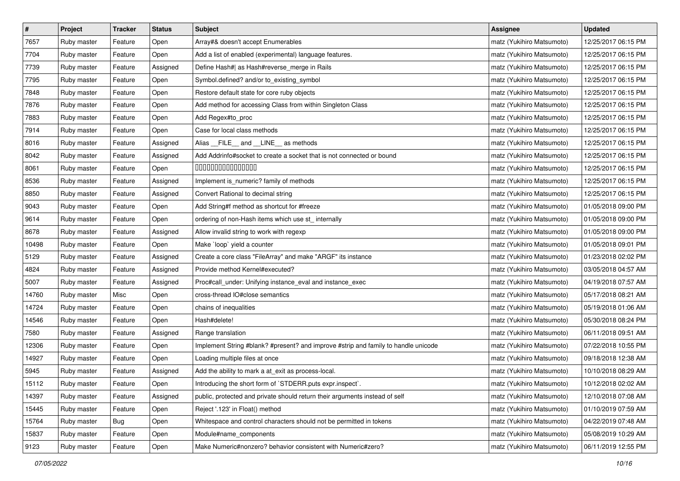| $\pmb{\#}$ | Project     | <b>Tracker</b> | <b>Status</b> | <b>Subject</b>                                                                     | <b>Assignee</b>           | <b>Updated</b>      |
|------------|-------------|----------------|---------------|------------------------------------------------------------------------------------|---------------------------|---------------------|
| 7657       | Ruby master | Feature        | Open          | Array#& doesn't accept Enumerables                                                 | matz (Yukihiro Matsumoto) | 12/25/2017 06:15 PM |
| 7704       | Ruby master | Feature        | Open          | Add a list of enabled (experimental) language features.                            | matz (Yukihiro Matsumoto) | 12/25/2017 06:15 PM |
| 7739       | Ruby master | Feature        | Assigned      | Define Hash#  as Hash#reverse_merge in Rails                                       | matz (Yukihiro Matsumoto) | 12/25/2017 06:15 PM |
| 7795       | Ruby master | Feature        | Open          | Symbol.defined? and/or to_existing_symbol                                          | matz (Yukihiro Matsumoto) | 12/25/2017 06:15 PM |
| 7848       | Ruby master | Feature        | Open          | Restore default state for core ruby objects                                        | matz (Yukihiro Matsumoto) | 12/25/2017 06:15 PM |
| 7876       | Ruby master | Feature        | Open          | Add method for accessing Class from within Singleton Class                         | matz (Yukihiro Matsumoto) | 12/25/2017 06:15 PM |
| 7883       | Ruby master | Feature        | Open          | Add Regex#to_proc                                                                  | matz (Yukihiro Matsumoto) | 12/25/2017 06:15 PM |
| 7914       | Ruby master | Feature        | Open          | Case for local class methods                                                       | matz (Yukihiro Matsumoto) | 12/25/2017 06:15 PM |
| 8016       | Ruby master | Feature        | Assigned      | Alias _FILE_ and _LINE_ as methods                                                 | matz (Yukihiro Matsumoto) | 12/25/2017 06:15 PM |
| 8042       | Ruby master | Feature        | Assigned      | Add Addrinfo#socket to create a socket that is not connected or bound              | matz (Yukihiro Matsumoto) | 12/25/2017 06:15 PM |
| 8061       | Ruby master | Feature        | Open          | 000000000000000                                                                    | matz (Yukihiro Matsumoto) | 12/25/2017 06:15 PM |
| 8536       | Ruby master | Feature        | Assigned      | Implement is_numeric? family of methods                                            | matz (Yukihiro Matsumoto) | 12/25/2017 06:15 PM |
| 8850       | Ruby master | Feature        | Assigned      | Convert Rational to decimal string                                                 | matz (Yukihiro Matsumoto) | 12/25/2017 06:15 PM |
| 9043       | Ruby master | Feature        | Open          | Add String#f method as shortcut for #freeze                                        | matz (Yukihiro Matsumoto) | 01/05/2018 09:00 PM |
| 9614       | Ruby master | Feature        | Open          | ordering of non-Hash items which use st_ internally                                | matz (Yukihiro Matsumoto) | 01/05/2018 09:00 PM |
| 8678       | Ruby master | Feature        | Assigned      | Allow invalid string to work with regexp                                           | matz (Yukihiro Matsumoto) | 01/05/2018 09:00 PM |
| 10498      | Ruby master | Feature        | Open          | Make 'loop' yield a counter                                                        | matz (Yukihiro Matsumoto) | 01/05/2018 09:01 PM |
| 5129       | Ruby master | Feature        | Assigned      | Create a core class "FileArray" and make "ARGF" its instance                       | matz (Yukihiro Matsumoto) | 01/23/2018 02:02 PM |
| 4824       | Ruby master | Feature        | Assigned      | Provide method Kernel#executed?                                                    | matz (Yukihiro Matsumoto) | 03/05/2018 04:57 AM |
| 5007       | Ruby master | Feature        | Assigned      | Proc#call_under: Unifying instance_eval and instance_exec                          | matz (Yukihiro Matsumoto) | 04/19/2018 07:57 AM |
| 14760      | Ruby master | Misc           | Open          | cross-thread IO#close semantics                                                    | matz (Yukihiro Matsumoto) | 05/17/2018 08:21 AM |
| 14724      | Ruby master | Feature        | Open          | chains of inequalities                                                             | matz (Yukihiro Matsumoto) | 05/19/2018 01:06 AM |
| 14546      | Ruby master | Feature        | Open          | Hash#delete!                                                                       | matz (Yukihiro Matsumoto) | 05/30/2018 08:24 PM |
| 7580       | Ruby master | Feature        | Assigned      | Range translation                                                                  | matz (Yukihiro Matsumoto) | 06/11/2018 09:51 AM |
| 12306      | Ruby master | Feature        | Open          | Implement String #blank? #present? and improve #strip and family to handle unicode | matz (Yukihiro Matsumoto) | 07/22/2018 10:55 PM |
| 14927      | Ruby master | Feature        | Open          | Loading multiple files at once                                                     | matz (Yukihiro Matsumoto) | 09/18/2018 12:38 AM |
| 5945       | Ruby master | Feature        | Assigned      | Add the ability to mark a at_exit as process-local.                                | matz (Yukihiro Matsumoto) | 10/10/2018 08:29 AM |
| 15112      | Ruby master | Feature        | Open          | Introducing the short form of `STDERR.puts expr.inspect`.                          | matz (Yukihiro Matsumoto) | 10/12/2018 02:02 AM |
| 14397      | Ruby master | Feature        | Assigned      | public, protected and private should return their arguments instead of self        | matz (Yukihiro Matsumoto) | 12/10/2018 07:08 AM |
| 15445      | Ruby master | Feature        | Open          | Reject '.123' in Float() method                                                    | matz (Yukihiro Matsumoto) | 01/10/2019 07:59 AM |
| 15764      | Ruby master | Bug            | Open          | Whitespace and control characters should not be permitted in tokens                | matz (Yukihiro Matsumoto) | 04/22/2019 07:48 AM |
| 15837      | Ruby master | Feature        | Open          | Module#name_components                                                             | matz (Yukihiro Matsumoto) | 05/08/2019 10:29 AM |
| 9123       | Ruby master | Feature        | Open          | Make Numeric#nonzero? behavior consistent with Numeric#zero?                       | matz (Yukihiro Matsumoto) | 06/11/2019 12:55 PM |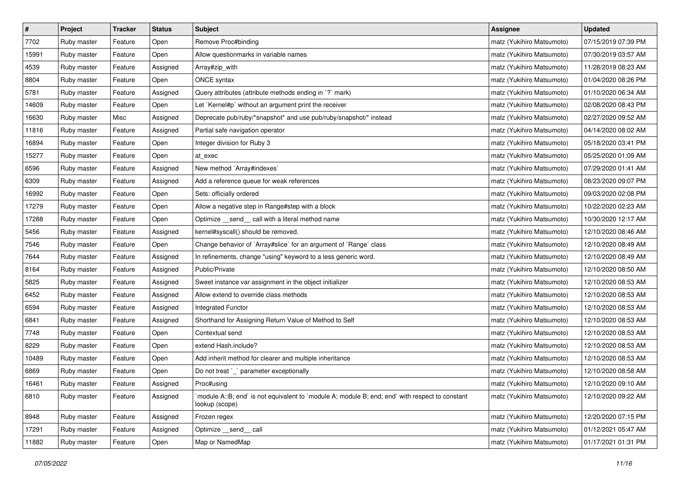| $\pmb{\#}$ | Project     | <b>Tracker</b> | <b>Status</b> | <b>Subject</b>                                                                                                    | <b>Assignee</b>           | <b>Updated</b>      |
|------------|-------------|----------------|---------------|-------------------------------------------------------------------------------------------------------------------|---------------------------|---------------------|
| 7702       | Ruby master | Feature        | Open          | Remove Proc#binding                                                                                               | matz (Yukihiro Matsumoto) | 07/15/2019 07:39 PM |
| 15991      | Ruby master | Feature        | Open          | Allow questionmarks in variable names                                                                             | matz (Yukihiro Matsumoto) | 07/30/2019 03:57 AM |
| 4539       | Ruby master | Feature        | Assigned      | Array#zip_with                                                                                                    | matz (Yukihiro Matsumoto) | 11/28/2019 08:23 AM |
| 8804       | Ruby master | Feature        | Open          | ONCE syntax                                                                                                       | matz (Yukihiro Matsumoto) | 01/04/2020 08:26 PM |
| 5781       | Ruby master | Feature        | Assigned      | Query attributes (attribute methods ending in `?` mark)                                                           | matz (Yukihiro Matsumoto) | 01/10/2020 06:34 AM |
| 14609      | Ruby master | Feature        | Open          | Let `Kernel#p` without an argument print the receiver                                                             | matz (Yukihiro Matsumoto) | 02/08/2020 08:43 PM |
| 16630      | Ruby master | Misc           | Assigned      | Deprecate pub/ruby/*snapshot* and use pub/ruby/snapshot/* instead                                                 | matz (Yukihiro Matsumoto) | 02/27/2020 09:52 AM |
| 11816      | Ruby master | Feature        | Assigned      | Partial safe navigation operator                                                                                  | matz (Yukihiro Matsumoto) | 04/14/2020 08:02 AM |
| 16894      | Ruby master | Feature        | Open          | Integer division for Ruby 3                                                                                       | matz (Yukihiro Matsumoto) | 05/18/2020 03:41 PM |
| 15277      | Ruby master | Feature        | Open          | at_exec                                                                                                           | matz (Yukihiro Matsumoto) | 05/25/2020 01:09 AM |
| 6596       | Ruby master | Feature        | Assigned      | New method `Array#indexes`                                                                                        | matz (Yukihiro Matsumoto) | 07/29/2020 01:41 AM |
| 6309       | Ruby master | Feature        | Assigned      | Add a reference queue for weak references                                                                         | matz (Yukihiro Matsumoto) | 08/23/2020 09:07 PM |
| 16992      | Ruby master | Feature        | Open          | Sets: officially ordered                                                                                          | matz (Yukihiro Matsumoto) | 09/03/2020 02:08 PM |
| 17279      | Ruby master | Feature        | Open          | Allow a negative step in Range#step with a block                                                                  | matz (Yukihiro Matsumoto) | 10/22/2020 02:23 AM |
| 17288      | Ruby master | Feature        | Open          | Optimize _send_ call with a literal method name                                                                   | matz (Yukihiro Matsumoto) | 10/30/2020 12:17 AM |
| 5456       | Ruby master | Feature        | Assigned      | kernel#syscall() should be removed.                                                                               | matz (Yukihiro Matsumoto) | 12/10/2020 08:46 AM |
| 7546       | Ruby master | Feature        | Open          | Change behavior of `Array#slice` for an argument of `Range` class                                                 | matz (Yukihiro Matsumoto) | 12/10/2020 08:49 AM |
| 7644       | Ruby master | Feature        | Assigned      | In refinements, change "using" keyword to a less generic word.                                                    | matz (Yukihiro Matsumoto) | 12/10/2020 08:49 AM |
| 8164       | Ruby master | Feature        | Assigned      | Public/Private                                                                                                    | matz (Yukihiro Matsumoto) | 12/10/2020 08:50 AM |
| 5825       | Ruby master | Feature        | Assigned      | Sweet instance var assignment in the object initializer                                                           | matz (Yukihiro Matsumoto) | 12/10/2020 08:53 AM |
| 6452       | Ruby master | Feature        | Assigned      | Allow extend to override class methods                                                                            | matz (Yukihiro Matsumoto) | 12/10/2020 08:53 AM |
| 6594       | Ruby master | Feature        | Assigned      | Integrated Functor                                                                                                | matz (Yukihiro Matsumoto) | 12/10/2020 08:53 AM |
| 6841       | Ruby master | Feature        | Assigned      | Shorthand for Assigning Return Value of Method to Self                                                            | matz (Yukihiro Matsumoto) | 12/10/2020 08:53 AM |
| 7748       | Ruby master | Feature        | Open          | Contextual send                                                                                                   | matz (Yukihiro Matsumoto) | 12/10/2020 08:53 AM |
| 8229       | Ruby master | Feature        | Open          | extend Hash.include?                                                                                              | matz (Yukihiro Matsumoto) | 12/10/2020 08:53 AM |
| 10489      | Ruby master | Feature        | Open          | Add inherit method for clearer and multiple inheritance                                                           | matz (Yukihiro Matsumoto) | 12/10/2020 08:53 AM |
| 6869       | Ruby master | Feature        | Open          | Do not treat `_` parameter exceptionally                                                                          | matz (Yukihiro Matsumoto) | 12/10/2020 08:58 AM |
| 16461      | Ruby master | Feature        | Assigned      | Proc#using                                                                                                        | matz (Yukihiro Matsumoto) | 12/10/2020 09:10 AM |
| 6810       | Ruby master | Feature        | Assigned      | module A::B; end` is not equivalent to `module A; module B; end; end` with respect to constant`<br>lookup (scope) | matz (Yukihiro Matsumoto) | 12/10/2020 09:22 AM |
| 8948       | Ruby master | Feature        | Assigned      | Frozen regex                                                                                                      | matz (Yukihiro Matsumoto) | 12/20/2020 07:15 PM |
| 17291      | Ruby master | Feature        | Assigned      | Optimize __send__ call                                                                                            | matz (Yukihiro Matsumoto) | 01/12/2021 05:47 AM |
| 11882      | Ruby master | Feature        | Open          | Map or NamedMap                                                                                                   | matz (Yukihiro Matsumoto) | 01/17/2021 01:31 PM |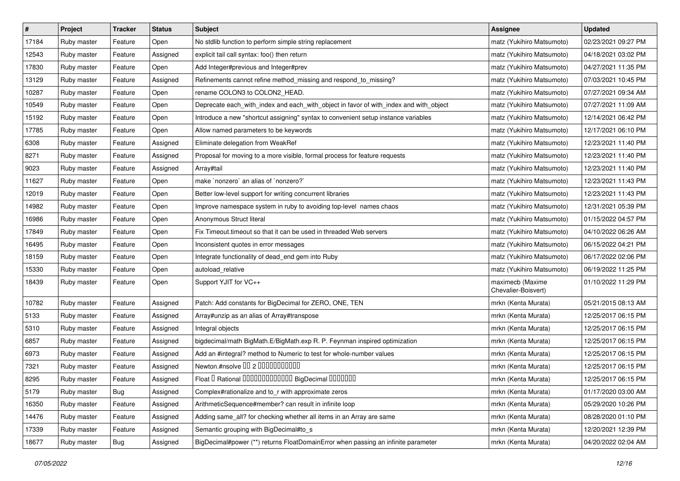| $\vert$ # | Project     | <b>Tracker</b> | <b>Status</b> | Subject                                                                               | Assignee                                | <b>Updated</b>      |
|-----------|-------------|----------------|---------------|---------------------------------------------------------------------------------------|-----------------------------------------|---------------------|
| 17184     | Ruby master | Feature        | Open          | No stdlib function to perform simple string replacement                               | matz (Yukihiro Matsumoto)               | 02/23/2021 09:27 PM |
| 12543     | Ruby master | Feature        | Assigned      | explicit tail call syntax: foo() then return                                          | matz (Yukihiro Matsumoto)               | 04/18/2021 03:02 PM |
| 17830     | Ruby master | Feature        | Open          | Add Integer#previous and Integer#prev                                                 | matz (Yukihiro Matsumoto)               | 04/27/2021 11:35 PM |
| 13129     | Ruby master | Feature        | Assigned      | Refinements cannot refine method_missing and respond_to_missing?                      | matz (Yukihiro Matsumoto)               | 07/03/2021 10:45 PM |
| 10287     | Ruby master | Feature        | Open          | rename COLON3 to COLON2_HEAD.                                                         | matz (Yukihiro Matsumoto)               | 07/27/2021 09:34 AM |
| 10549     | Ruby master | Feature        | Open          | Deprecate each_with_index and each_with_object in favor of with_index and with_object | matz (Yukihiro Matsumoto)               | 07/27/2021 11:09 AM |
| 15192     | Ruby master | Feature        | Open          | Introduce a new "shortcut assigning" syntax to convenient setup instance variables    | matz (Yukihiro Matsumoto)               | 12/14/2021 06:42 PM |
| 17785     | Ruby master | Feature        | Open          | Allow named parameters to be keywords                                                 | matz (Yukihiro Matsumoto)               | 12/17/2021 06:10 PM |
| 6308      | Ruby master | Feature        | Assigned      | Eliminate delegation from WeakRef                                                     | matz (Yukihiro Matsumoto)               | 12/23/2021 11:40 PM |
| 8271      | Ruby master | Feature        | Assigned      | Proposal for moving to a more visible, formal process for feature requests            | matz (Yukihiro Matsumoto)               | 12/23/2021 11:40 PM |
| 9023      | Ruby master | Feature        | Assigned      | Array#tail                                                                            | matz (Yukihiro Matsumoto)               | 12/23/2021 11:40 PM |
| 11627     | Ruby master | Feature        | Open          | make `nonzero` an alias of `nonzero?`                                                 | matz (Yukihiro Matsumoto)               | 12/23/2021 11:43 PM |
| 12019     | Ruby master | Feature        | Open          | Better low-level support for writing concurrent libraries                             | matz (Yukihiro Matsumoto)               | 12/23/2021 11:43 PM |
| 14982     | Ruby master | Feature        | Open          | Improve namespace system in ruby to avoiding top-level names chaos                    | matz (Yukihiro Matsumoto)               | 12/31/2021 05:39 PM |
| 16986     | Ruby master | Feature        | Open          | Anonymous Struct literal                                                              | matz (Yukihiro Matsumoto)               | 01/15/2022 04:57 PM |
| 17849     | Ruby master | Feature        | Open          | Fix Timeout timeout so that it can be used in threaded Web servers                    | matz (Yukihiro Matsumoto)               | 04/10/2022 06:26 AM |
| 16495     | Ruby master | Feature        | Open          | Inconsistent quotes in error messages                                                 | matz (Yukihiro Matsumoto)               | 06/15/2022 04:21 PM |
| 18159     | Ruby master | Feature        | Open          | Integrate functionality of dead_end gem into Ruby                                     | matz (Yukihiro Matsumoto)               | 06/17/2022 02:06 PM |
| 15330     | Ruby master | Feature        | Open          | autoload_relative                                                                     | matz (Yukihiro Matsumoto)               | 06/19/2022 11:25 PM |
| 18439     | Ruby master | Feature        | Open          | Support YJIT for VC++                                                                 | maximecb (Maxime<br>Chevalier-Boisvert) | 01/10/2022 11:29 PM |
| 10782     | Ruby master | Feature        | Assigned      | Patch: Add constants for BigDecimal for ZERO, ONE, TEN                                | mrkn (Kenta Murata)                     | 05/21/2015 08:13 AM |
| 5133      | Ruby master | Feature        | Assigned      | Array#unzip as an alias of Array#transpose                                            | mrkn (Kenta Murata)                     | 12/25/2017 06:15 PM |
| 5310      | Ruby master | Feature        | Assigned      | Integral objects                                                                      | mrkn (Kenta Murata)                     | 12/25/2017 06:15 PM |
| 6857      | Ruby master | Feature        | Assigned      | bigdecimal/math BigMath.E/BigMath.exp R. P. Feynman inspired optimization             | mrkn (Kenta Murata)                     | 12/25/2017 06:15 PM |
| 6973      | Ruby master | Feature        | Assigned      | Add an #integral? method to Numeric to test for whole-number values                   | mrkn (Kenta Murata)                     | 12/25/2017 06:15 PM |
| 7321      | Ruby master | Feature        | Assigned      | Newton.#nsolve 00 2 0000000000                                                        | mrkn (Kenta Murata)                     | 12/25/2017 06:15 PM |
| 8295      | Ruby master | Feature        | Assigned      | Float I Rational 0000000000000 BigDecimal 0000000                                     | mrkn (Kenta Murata)                     | 12/25/2017 06:15 PM |
| 5179      | Ruby master | <b>Bug</b>     | Assigned      | Complex#rationalize and to_r with approximate zeros                                   | mrkn (Kenta Murata)                     | 01/17/2020 03:00 AM |
| 16350     | Ruby master | Feature        | Assigned      | ArithmeticSequence#member? can result in infinite loop                                | mrkn (Kenta Murata)                     | 05/29/2020 10:26 PM |
| 14476     | Ruby master | Feature        | Assigned      | Adding same_all? for checking whether all items in an Array are same                  | mrkn (Kenta Murata)                     | 08/28/2020 01:10 PM |
| 17339     | Ruby master | Feature        | Assigned      | Semantic grouping with BigDecimal#to_s                                                | mrkn (Kenta Murata)                     | 12/20/2021 12:39 PM |
| 18677     | Ruby master | <b>Bug</b>     | Assigned      | BigDecimal#power (**) returns FloatDomainError when passing an infinite parameter     | mrkn (Kenta Murata)                     | 04/20/2022 02:04 AM |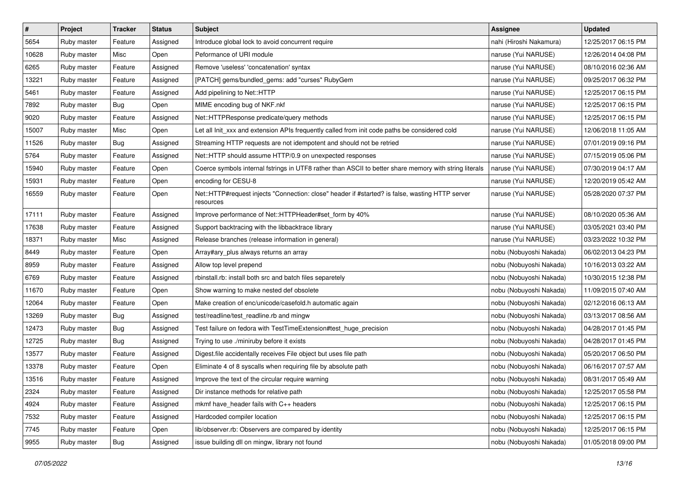| $\pmb{\#}$ | Project     | <b>Tracker</b> | <b>Status</b> | <b>Subject</b>                                                                                               | <b>Assignee</b>         | <b>Updated</b>      |
|------------|-------------|----------------|---------------|--------------------------------------------------------------------------------------------------------------|-------------------------|---------------------|
| 5654       | Ruby master | Feature        | Assigned      | Introduce global lock to avoid concurrent require                                                            | nahi (Hiroshi Nakamura) | 12/25/2017 06:15 PM |
| 10628      | Ruby master | Misc           | Open          | Peformance of URI module                                                                                     | naruse (Yui NARUSE)     | 12/26/2014 04:08 PM |
| 6265       | Ruby master | Feature        | Assigned      | Remove 'useless' 'concatenation' syntax                                                                      | naruse (Yui NARUSE)     | 08/10/2016 02:36 AM |
| 13221      | Ruby master | Feature        | Assigned      | [PATCH] gems/bundled_gems: add "curses" RubyGem                                                              | naruse (Yui NARUSE)     | 09/25/2017 06:32 PM |
| 5461       | Ruby master | Feature        | Assigned      | Add pipelining to Net::HTTP                                                                                  | naruse (Yui NARUSE)     | 12/25/2017 06:15 PM |
| 7892       | Ruby master | Bug            | Open          | MIME encoding bug of NKF.nkf                                                                                 | naruse (Yui NARUSE)     | 12/25/2017 06:15 PM |
| 9020       | Ruby master | Feature        | Assigned      | Net::HTTPResponse predicate/query methods                                                                    | naruse (Yui NARUSE)     | 12/25/2017 06:15 PM |
| 15007      | Ruby master | Misc           | Open          | Let all Init_xxx and extension APIs frequently called from init code paths be considered cold                | naruse (Yui NARUSE)     | 12/06/2018 11:05 AM |
| 11526      | Ruby master | Bug            | Assigned      | Streaming HTTP requests are not idempotent and should not be retried                                         | naruse (Yui NARUSE)     | 07/01/2019 09:16 PM |
| 5764       | Ruby master | Feature        | Assigned      | Net::HTTP should assume HTTP/0.9 on unexpected responses                                                     | naruse (Yui NARUSE)     | 07/15/2019 05:06 PM |
| 15940      | Ruby master | Feature        | Open          | Coerce symbols internal fstrings in UTF8 rather than ASCII to better share memory with string literals       | naruse (Yui NARUSE)     | 07/30/2019 04:17 AM |
| 15931      | Ruby master | Feature        | Open          | encoding for CESU-8                                                                                          | naruse (Yui NARUSE)     | 12/20/2019 05:42 AM |
| 16559      | Ruby master | Feature        | Open          | Net::HTTP#request injects "Connection: close" header if #started? is false, wasting HTTP server<br>resources | naruse (Yui NARUSE)     | 05/28/2020 07:37 PM |
| 17111      | Ruby master | Feature        | Assigned      | Improve performance of Net::HTTPHeader#set_form by 40%                                                       | naruse (Yui NARUSE)     | 08/10/2020 05:36 AM |
| 17638      | Ruby master | Feature        | Assigned      | Support backtracing with the libbacktrace library                                                            | naruse (Yui NARUSE)     | 03/05/2021 03:40 PM |
| 18371      | Ruby master | Misc           | Assigned      | Release branches (release information in general)                                                            | naruse (Yui NARUSE)     | 03/23/2022 10:32 PM |
| 8449       | Ruby master | Feature        | Open          | Array#ary plus always returns an array                                                                       | nobu (Nobuyoshi Nakada) | 06/02/2013 04:23 PM |
| 8959       | Ruby master | Feature        | Assigned      | Allow top level prepend                                                                                      | nobu (Nobuyoshi Nakada) | 10/16/2013 03:22 AM |
| 6769       | Ruby master | Feature        | Assigned      | rbinstall.rb: install both src and batch files separetely                                                    | nobu (Nobuyoshi Nakada) | 10/30/2015 12:38 PM |
| 11670      | Ruby master | Feature        | Open          | Show warning to make nested def obsolete                                                                     | nobu (Nobuyoshi Nakada) | 11/09/2015 07:40 AM |
| 12064      | Ruby master | Feature        | Open          | Make creation of enc/unicode/casefold.h automatic again                                                      | nobu (Nobuyoshi Nakada) | 02/12/2016 06:13 AM |
| 13269      | Ruby master | Bug            | Assigned      | test/readline/test_readline.rb and mingw                                                                     | nobu (Nobuyoshi Nakada) | 03/13/2017 08:56 AM |
| 12473      | Ruby master | <b>Bug</b>     | Assigned      | Test failure on fedora with TestTimeExtension#test_huge_precision                                            | nobu (Nobuyoshi Nakada) | 04/28/2017 01:45 PM |
| 12725      | Ruby master | Bug            | Assigned      | Trying to use ./miniruby before it exists                                                                    | nobu (Nobuyoshi Nakada) | 04/28/2017 01:45 PM |
| 13577      | Ruby master | Feature        | Assigned      | Digest file accidentally receives File object but uses file path                                             | nobu (Nobuyoshi Nakada) | 05/20/2017 06:50 PM |
| 13378      | Ruby master | Feature        | Open          | Eliminate 4 of 8 syscalls when requiring file by absolute path                                               | nobu (Nobuyoshi Nakada) | 06/16/2017 07:57 AM |
| 13516      | Ruby master | Feature        | Assigned      | Improve the text of the circular require warning                                                             | nobu (Nobuyoshi Nakada) | 08/31/2017 05:49 AM |
| 2324       | Ruby master | Feature        | Assigned      | Dir instance methods for relative path                                                                       | nobu (Nobuyoshi Nakada) | 12/25/2017 05:58 PM |
| 4924       | Ruby master | Feature        | Assigned      | mkmf have_header fails with C++ headers                                                                      | nobu (Nobuyoshi Nakada) | 12/25/2017 06:15 PM |
| 7532       | Ruby master | Feature        | Assigned      | Hardcoded compiler location                                                                                  | nobu (Nobuyoshi Nakada) | 12/25/2017 06:15 PM |
| 7745       | Ruby master | Feature        | Open          | lib/observer.rb: Observers are compared by identity                                                          | nobu (Nobuyoshi Nakada) | 12/25/2017 06:15 PM |
| 9955       | Ruby master | Bug            | Assigned      | issue building dll on mingw, library not found                                                               | nobu (Nobuyoshi Nakada) | 01/05/2018 09:00 PM |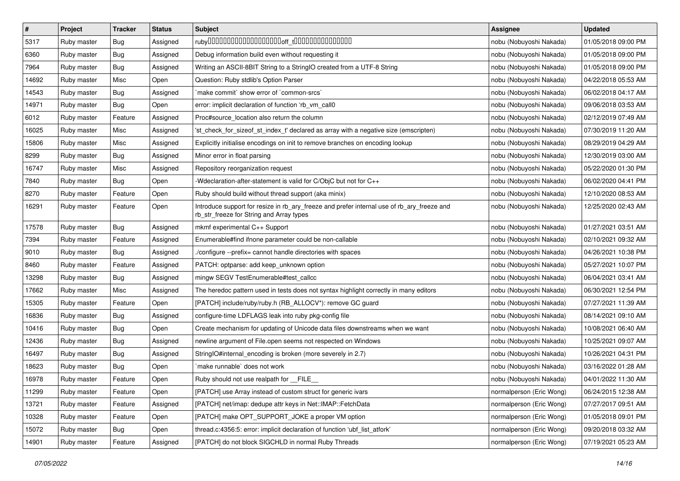| $\pmb{\#}$ | Project     | <b>Tracker</b> | <b>Status</b> | <b>Subject</b>                                                                                                                         | <b>Assignee</b>          | <b>Updated</b>      |
|------------|-------------|----------------|---------------|----------------------------------------------------------------------------------------------------------------------------------------|--------------------------|---------------------|
| 5317       | Ruby master | Bug            | Assigned      |                                                                                                                                        | nobu (Nobuyoshi Nakada)  | 01/05/2018 09:00 PM |
| 6360       | Ruby master | Bug            | Assigned      | Debug information build even without requesting it                                                                                     | nobu (Nobuyoshi Nakada)  | 01/05/2018 09:00 PM |
| 7964       | Ruby master | Bug            | Assigned      | Writing an ASCII-8BIT String to a StringIO created from a UTF-8 String                                                                 | nobu (Nobuyoshi Nakada)  | 01/05/2018 09:00 PM |
| 14692      | Ruby master | Misc           | Open          | Question: Ruby stdlib's Option Parser                                                                                                  | nobu (Nobuyoshi Nakada)  | 04/22/2018 05:53 AM |
| 14543      | Ruby master | <b>Bug</b>     | Assigned      | `make commit` show error of `common-srcs`                                                                                              | nobu (Nobuyoshi Nakada)  | 06/02/2018 04:17 AM |
| 14971      | Ruby master | Bug            | Open          | error: implicit declaration of function 'rb vm call0                                                                                   | nobu (Nobuyoshi Nakada)  | 09/06/2018 03:53 AM |
| 6012       | Ruby master | Feature        | Assigned      | Proc#source_location also return the column                                                                                            | nobu (Nobuyoshi Nakada)  | 02/12/2019 07:49 AM |
| 16025      | Ruby master | Misc           | Assigned      | 'st_check_for_sizeof_st_index_t' declared as array with a negative size (emscripten)                                                   | nobu (Nobuyoshi Nakada)  | 07/30/2019 11:20 AM |
| 15806      | Ruby master | Misc           | Assigned      | Explicitly initialise encodings on init to remove branches on encoding lookup                                                          | nobu (Nobuyoshi Nakada)  | 08/29/2019 04:29 AM |
| 8299       | Ruby master | <b>Bug</b>     | Assigned      | Minor error in float parsing                                                                                                           | nobu (Nobuyoshi Nakada)  | 12/30/2019 03:00 AM |
| 16747      | Ruby master | Misc           | Assigned      | Repository reorganization request                                                                                                      | nobu (Nobuyoshi Nakada)  | 05/22/2020 01:30 PM |
| 7840       | Ruby master | Bug            | Open          | -Wdeclaration-after-statement is valid for C/ObiC but not for C++                                                                      | nobu (Nobuyoshi Nakada)  | 06/02/2020 04:41 PM |
| 8270       | Ruby master | Feature        | Open          | Ruby should build without thread support (aka minix)                                                                                   | nobu (Nobuyoshi Nakada)  | 12/10/2020 08:53 AM |
| 16291      | Ruby master | Feature        | Open          | Introduce support for resize in rb_ary_freeze and prefer internal use of rb_ary_freeze and<br>rb_str_freeze for String and Array types | nobu (Nobuyoshi Nakada)  | 12/25/2020 02:43 AM |
| 17578      | Ruby master | Bug            | Assigned      | mkmf experimental C++ Support                                                                                                          | nobu (Nobuyoshi Nakada)  | 01/27/2021 03:51 AM |
| 7394       | Ruby master | Feature        | Assigned      | Enumerable#find ifnone parameter could be non-callable                                                                                 | nobu (Nobuyoshi Nakada)  | 02/10/2021 09:32 AM |
| 9010       | Ruby master | <b>Bug</b>     | Assigned      | ./configure --prefix= cannot handle directories with spaces                                                                            | nobu (Nobuyoshi Nakada)  | 04/26/2021 10:38 PM |
| 8460       | Ruby master | Feature        | Assigned      | PATCH: optparse: add keep_unknown option                                                                                               | nobu (Nobuyoshi Nakada)  | 05/27/2021 10:07 PM |
| 13298      | Ruby master | Bug            | Assigned      | mingw SEGV TestEnumerable#test_callcc                                                                                                  | nobu (Nobuyoshi Nakada)  | 06/04/2021 03:41 AM |
| 17662      | Ruby master | Misc           | Assigned      | The heredoc pattern used in tests does not syntax highlight correctly in many editors                                                  | nobu (Nobuyoshi Nakada)  | 06/30/2021 12:54 PM |
| 15305      | Ruby master | Feature        | Open          | [PATCH] include/ruby/ruby.h (RB_ALLOCV*): remove GC guard                                                                              | nobu (Nobuyoshi Nakada)  | 07/27/2021 11:39 AM |
| 16836      | Ruby master | Bug            | Assigned      | configure-time LDFLAGS leak into ruby pkg-config file                                                                                  | nobu (Nobuyoshi Nakada)  | 08/14/2021 09:10 AM |
| 10416      | Ruby master | <b>Bug</b>     | Open          | Create mechanism for updating of Unicode data files downstreams when we want                                                           | nobu (Nobuyoshi Nakada)  | 10/08/2021 06:40 AM |
| 12436      | Ruby master | Bug            | Assigned      | newline argument of File.open seems not respected on Windows                                                                           | nobu (Nobuyoshi Nakada)  | 10/25/2021 09:07 AM |
| 16497      | Ruby master | Bug            | Assigned      | StringIO#internal_encoding is broken (more severely in 2.7)                                                                            | nobu (Nobuyoshi Nakada)  | 10/26/2021 04:31 PM |
| 18623      | Ruby master | Bug            | Open          | `make runnable` does not work                                                                                                          | nobu (Nobuyoshi Nakada)  | 03/16/2022 01:28 AM |
| 16978      | Ruby master | Feature        | Open          | Ruby should not use realpath for __FILE_                                                                                               | nobu (Nobuyoshi Nakada)  | 04/01/2022 11:30 AM |
| 11299      | Ruby master | Feature        | Open          | [PATCH] use Array instead of custom struct for generic ivars                                                                           | normalperson (Eric Wong) | 06/24/2015 12:38 AM |
| 13721      | Ruby master | Feature        | Assigned      | [PATCH] net/imap: dedupe attr keys in Net::IMAP::FetchData                                                                             | normalperson (Eric Wong) | 07/27/2017 09:51 AM |
| 10328      | Ruby master | Feature        | Open          | [PATCH] make OPT_SUPPORT_JOKE a proper VM option                                                                                       | normalperson (Eric Wong) | 01/05/2018 09:01 PM |
| 15072      | Ruby master | <b>Bug</b>     | Open          | thread.c:4356:5: error: implicit declaration of function 'ubf_list_atfork'                                                             | normalperson (Eric Wong) | 09/20/2018 03:32 AM |
| 14901      | Ruby master | Feature        | Assigned      | [PATCH] do not block SIGCHLD in normal Ruby Threads                                                                                    | normalperson (Eric Wong) | 07/19/2021 05:23 AM |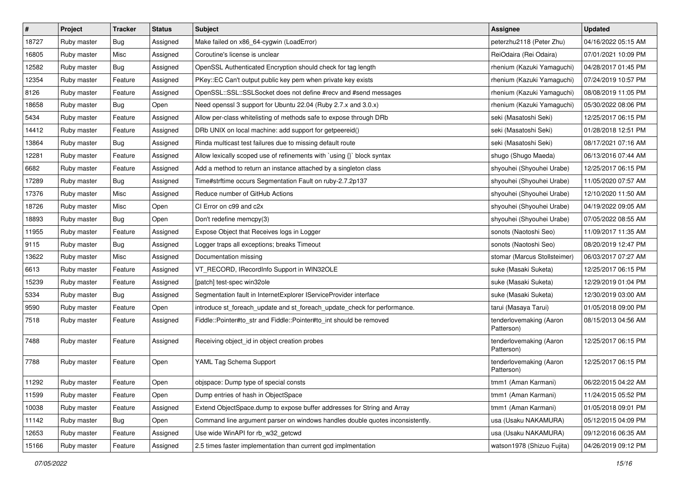| $\vert$ # | Project     | Tracker | <b>Status</b> | <b>Subject</b>                                                                | <b>Assignee</b>                       | <b>Updated</b>      |
|-----------|-------------|---------|---------------|-------------------------------------------------------------------------------|---------------------------------------|---------------------|
| 18727     | Ruby master | Bug     | Assigned      | Make failed on x86_64-cygwin (LoadError)                                      | peterzhu2118 (Peter Zhu)              | 04/16/2022 05:15 AM |
| 16805     | Ruby master | Misc    | Assigned      | Coroutine's license is unclear                                                | ReiOdaira (Rei Odaira)                | 07/01/2021 10:09 PM |
| 12582     | Ruby master | Bug     | Assigned      | OpenSSL Authenticated Encryption should check for tag length                  | rhenium (Kazuki Yamaguchi)            | 04/28/2017 01:45 PM |
| 12354     | Ruby master | Feature | Assigned      | PKey::EC Can't output public key pem when private key exists                  | rhenium (Kazuki Yamaguchi)            | 07/24/2019 10:57 PM |
| 8126      | Ruby master | Feature | Assigned      | OpenSSL::SSL::SSLSocket does not define #recv and #send messages              | rhenium (Kazuki Yamaguchi)            | 08/08/2019 11:05 PM |
| 18658     | Ruby master | Bug     | Open          | Need openssl 3 support for Ubuntu 22.04 (Ruby 2.7.x and 3.0.x)                | rhenium (Kazuki Yamaguchi)            | 05/30/2022 08:06 PM |
| 5434      | Ruby master | Feature | Assigned      | Allow per-class whitelisting of methods safe to expose through DRb            | seki (Masatoshi Seki)                 | 12/25/2017 06:15 PM |
| 14412     | Ruby master | Feature | Assigned      | DRb UNIX on local machine: add support for getpeereid()                       | seki (Masatoshi Seki)                 | 01/28/2018 12:51 PM |
| 13864     | Ruby master | Bug     | Assigned      | Rinda multicast test failures due to missing default route                    | seki (Masatoshi Seki)                 | 08/17/2021 07:16 AM |
| 12281     | Ruby master | Feature | Assigned      | Allow lexically scoped use of refinements with `using {}` block syntax        | shugo (Shugo Maeda)                   | 06/13/2016 07:44 AM |
| 6682      | Ruby master | Feature | Assigned      | Add a method to return an instance attached by a singleton class              | shyouhei (Shyouhei Urabe)             | 12/25/2017 06:15 PM |
| 17289     | Ruby master | Bug     | Assigned      | Time#strftime occurs Segmentation Fault on ruby-2.7.2p137                     | shyouhei (Shyouhei Urabe)             | 11/05/2020 07:57 AM |
| 17376     | Ruby master | Misc    | Assigned      | Reduce number of GitHub Actions                                               | shyouhei (Shyouhei Urabe)             | 12/10/2020 11:50 AM |
| 18726     | Ruby master | Misc    | Open          | CI Error on c99 and c2x                                                       | shyouhei (Shyouhei Urabe)             | 04/19/2022 09:05 AM |
| 18893     | Ruby master | Bug     | Open          | Don't redefine memcpy(3)                                                      | shyouhei (Shyouhei Urabe)             | 07/05/2022 08:55 AM |
| 11955     | Ruby master | Feature | Assigned      | Expose Object that Receives logs in Logger                                    | sonots (Naotoshi Seo)                 | 11/09/2017 11:35 AM |
| 9115      | Ruby master | Bug     | Assigned      | Logger traps all exceptions; breaks Timeout                                   | sonots (Naotoshi Seo)                 | 08/20/2019 12:47 PM |
| 13622     | Ruby master | Misc    | Assigned      | Documentation missing                                                         | stomar (Marcus Stollsteimer)          | 06/03/2017 07:27 AM |
| 6613      | Ruby master | Feature | Assigned      | VT_RECORD, IRecordInfo Support in WIN32OLE                                    | suke (Masaki Suketa)                  | 12/25/2017 06:15 PM |
| 15239     | Ruby master | Feature | Assigned      | [patch] test-spec win32ole                                                    | suke (Masaki Suketa)                  | 12/29/2019 01:04 PM |
| 5334      | Ruby master | Bug     | Assigned      | Segmentation fault in InternetExplorer IServiceProvider interface             | suke (Masaki Suketa)                  | 12/30/2019 03:00 AM |
| 9590      | Ruby master | Feature | Open          | introduce st_foreach_update and st_foreach_update_check for performance.      | tarui (Masaya Tarui)                  | 01/05/2018 09:00 PM |
| 7518      | Ruby master | Feature | Assigned      | Fiddle::Pointer#to_str and Fiddle::Pointer#to_int should be removed           | tenderlovemaking (Aaron<br>Patterson) | 08/15/2013 04:56 AM |
| 7488      | Ruby master | Feature | Assigned      | Receiving object_id in object creation probes                                 | tenderlovemaking (Aaron<br>Patterson) | 12/25/2017 06:15 PM |
| 7788      | Ruby master | Feature | Open          | YAML Tag Schema Support                                                       | tenderlovemaking (Aaron<br>Patterson) | 12/25/2017 06:15 PM |
| 11292     | Ruby master | Feature | Open          | objspace: Dump type of special consts                                         | tmm1 (Aman Karmani)                   | 06/22/2015 04:22 AM |
| 11599     | Ruby master | Feature | Open          | Dump entries of hash in ObjectSpace                                           | tmm1 (Aman Karmani)                   | 11/24/2015 05:52 PM |
| 10038     | Ruby master | Feature | Assigned      | Extend ObjectSpace.dump to expose buffer addresses for String and Array       | tmm1 (Aman Karmani)                   | 01/05/2018 09:01 PM |
| 11142     | Ruby master | Bug     | Open          | Command line argument parser on windows handles double quotes inconsistently. | usa (Usaku NAKAMURA)                  | 05/12/2015 04:09 PM |
| 12653     | Ruby master | Feature | Assigned      | Use wide WinAPI for rb_w32_getcwd                                             | usa (Usaku NAKAMURA)                  | 09/12/2016 06:35 AM |
| 15166     | Ruby master | Feature | Assigned      | 2.5 times faster implementation than current gcd implmentation                | watson1978 (Shizuo Fujita)            | 04/26/2019 09:12 PM |